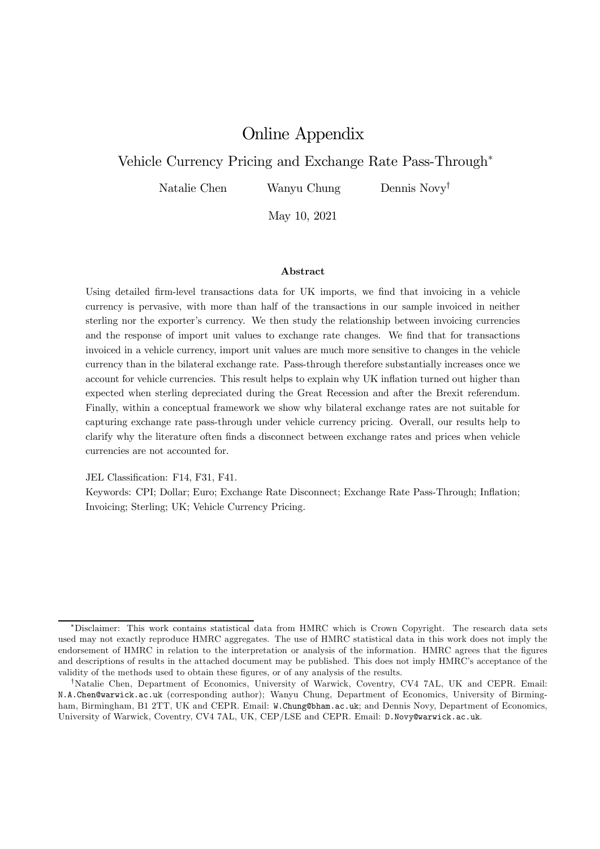# Online Appendix

### Vehicle Currency Pricing and Exchange Rate Pass-Through<sup>\*</sup>

Natalie Chen Wanyu Chung Dennis Novy<sup>†</sup>

May 10, 2021

#### Abstract

Using detailed firm-level transactions data for UK imports, we find that invoicing in a vehicle currency is pervasive, with more than half of the transactions in our sample invoiced in neither sterling nor the exporter's currency. We then study the relationship between invoicing currencies and the response of import unit values to exchange rate changes. We find that for transactions invoiced in a vehicle currency, import unit values are much more sensitive to changes in the vehicle currency than in the bilateral exchange rate. Pass-through therefore substantially increases once we account for vehicle currencies. This result helps to explain why UK inflation turned out higher than expected when sterling depreciated during the Great Recession and after the Brexit referendum. Finally, within a conceptual framework we show why bilateral exchange rates are not suitable for capturing exchange rate pass-through under vehicle currency pricing. Overall, our results help to clarify why the literature often finds a disconnect between exchange rates and prices when vehicle currencies are not accounted for.

JEL Classification: F14, F31, F41.

Keywords: CPI; Dollar; Euro; Exchange Rate Disconnect; Exchange Rate Pass-Through; Inflation; Invoicing; Sterling; UK; Vehicle Currency Pricing.

<sup>¤</sup>Disclaimer: This work contains statistical data from HMRC which is Crown Copyright. The research data sets used may not exactly reproduce HMRC aggregates. The use of HMRC statistical data in this work does not imply the endorsement of HMRC in relation to the interpretation or analysis of the information. HMRC agrees that the figures and descriptions of results in the attached document may be published. This does not imply HMRC's acceptance of the validity of the methods used to obtain these figures, or of any analysis of the results.

<sup>&</sup>lt;sup>†</sup>Natalie Chen, Department of Economics, University of Warwick, Coventry, CV4 7AL, UK and CEPR. Email: N.A.Chen@warwick.ac.uk (corresponding author); Wanyu Chung, Department of Economics, University of Birmingham, Birmingham, B1 2TT, UK and CEPR. Email: W.Chung@bham.ac.uk; and Dennis Novy, Department of Economics, University of Warwick, Coventry, CV4 7AL, UK, CEP/LSE and CEPR. Email: D.Novy@warwick.ac.uk.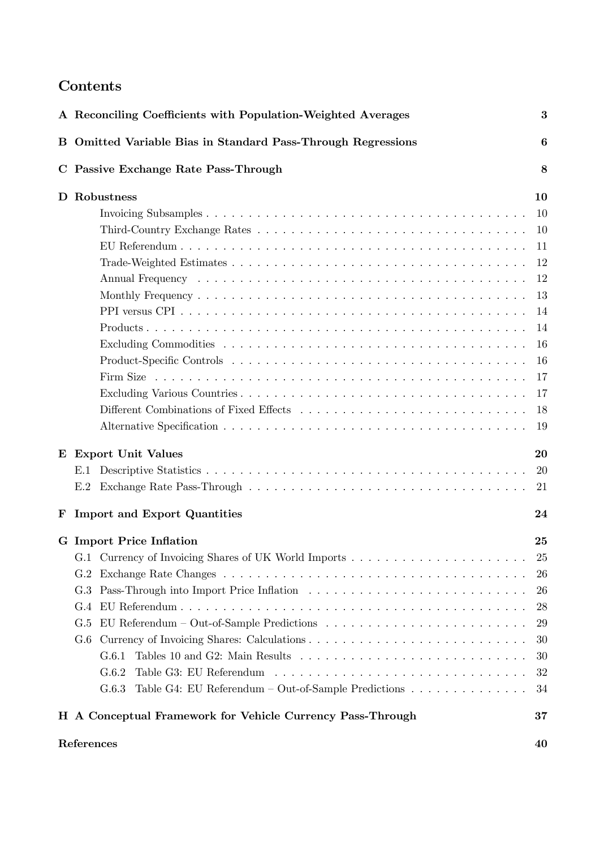# Contents

|   | A Reconciling Coefficients with Population-Weighted Averages | 3  |
|---|--------------------------------------------------------------|----|
|   | B Omitted Variable Bias in Standard Pass-Through Regressions | 6  |
|   | C Passive Exchange Rate Pass-Through                         | 8  |
|   | D Robustness                                                 | 10 |
|   |                                                              | 10 |
|   |                                                              | 10 |
|   |                                                              | 11 |
|   |                                                              | 12 |
|   |                                                              | 12 |
|   |                                                              | 13 |
|   |                                                              | 14 |
|   |                                                              | 14 |
|   |                                                              | 16 |
|   |                                                              | 16 |
|   |                                                              | 17 |
|   |                                                              | 17 |
|   |                                                              | 18 |
|   |                                                              | 19 |
| E | <b>Export Unit Values</b>                                    | 20 |
|   | E.1                                                          | 20 |
|   | E.2                                                          | 21 |
| F | <b>Import and Export Quantities</b>                          | 24 |
|   | <b>G</b> Import Price Inflation                              | 25 |
|   |                                                              | 25 |
|   | G.2                                                          | 26 |
|   | G.3                                                          | 26 |
|   | G.4                                                          | 28 |
|   | G.5                                                          | 29 |
|   | G.6                                                          | 30 |
|   | G.6.1                                                        | 30 |
|   | G.6.2                                                        | 32 |
|   | Table G4: EU Referendum – Out-of-Sample Predictions<br>G.6.3 | 34 |
|   | H A Conceptual Framework for Vehicle Currency Pass-Through   | 37 |
|   | References                                                   | 40 |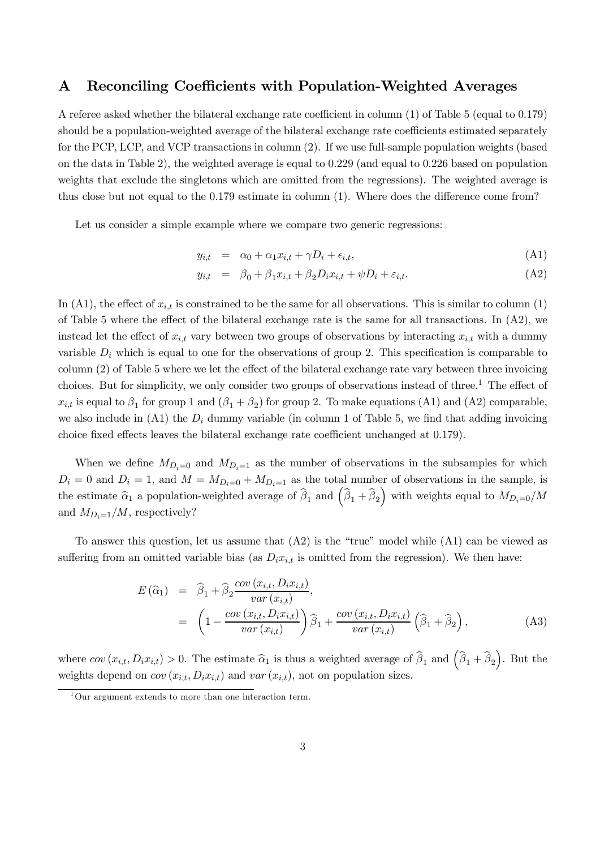### A Reconciling Coefficients with Population-Weighted Averages

A referee asked whether the bilateral exchange rate coefficient in column  $(1)$  of Table 5 (equal to 0.179) should be a population-weighted average of the bilateral exchange rate coefficients estimated separately for the PCP, LCP, and VCP transactions in column (2). If we use full-sample population weights (based on the data in Table 2), the weighted average is equal to 0.229 (and equal to 0.226 based on population weights that exclude the singletons which are omitted from the regressions). The weighted average is thus close but not equal to the  $0.179$  estimate in column  $(1)$ . Where does the difference come from?

Let us consider a simple example where we compare two generic regressions:

$$
y_{i,t} = \alpha_0 + \alpha_1 x_{i,t} + \gamma D_i + \epsilon_{i,t}, \tag{A1}
$$

$$
y_{i,t} = \beta_0 + \beta_1 x_{i,t} + \beta_2 D_i x_{i,t} + \psi D_i + \varepsilon_{i,t}.
$$
 (A2)

In (A1), the effect of  $x_{i,t}$  is constrained to be the same for all observations. This is similar to column (1) of Table 5 where the effect of the bilateral exchange rate is the same for all transactions. In  $(A2)$ , we instead let the effect of  $x_{i,t}$  vary between two groups of observations by interacting  $x_{i,t}$  with a dummy variable  $D_i$  which is equal to one for the observations of group 2. This specification is comparable to column  $(2)$  of Table 5 where we let the effect of the bilateral exchange rate vary between three invoicing choices. But for simplicity, we only consider two groups of observations instead of three.<sup>1</sup> The effect of  $x_{i,t}$  is equal to  $\beta_1$  for group 1 and  $(\beta_1 + \beta_2)$  for group 2. To make equations (A1) and (A2) comparable, we also include in  $(A1)$  the  $D<sub>i</sub>$  dummy variable (in column 1 of Table 5, we find that adding invoicing choice fixed effects leaves the bilateral exchange rate coefficient unchanged at  $0.179$ .

When we define  $M_{D_i=0}$  and  $M_{D_i=1}$  as the number of observations in the subsamples for which  $D_i = 0$  and  $D_i = 1$ , and  $M = M_{D_i=0} + M_{D_i=1}$  as the total number of observations in the sample, is the estimate  $\widehat{\alpha}_1$  a population-weighted average of  $\widehat{\beta}_1$  and  $(\widehat{\beta}_1 + \widehat{\beta}_2)$ ) with weights equal to  $M_{D_i=0}/M$ and  $M_{D_i=1}/M$ , respectively?

To answer this question, let us assume that (A2) is the "true" model while (A1) can be viewed as suffering from an omitted variable bias (as  $D_i x_{i,t}$  is omitted from the regression). We then have:

$$
E(\widehat{\alpha}_{1}) = \widehat{\beta}_{1} + \widehat{\beta}_{2} \frac{\operatorname{cov}(x_{i,t}, D_{i}x_{i,t})}{\operatorname{var}(x_{i,t})},
$$
  
= 
$$
\left(1 - \frac{\operatorname{cov}(x_{i,t}, D_{i}x_{i,t})}{\operatorname{var}(x_{i,t})}\right) \widehat{\beta}_{1} + \frac{\operatorname{cov}(x_{i,t}, D_{i}x_{i,t})}{\operatorname{var}(x_{i,t})} (\widehat{\beta}_{1} + \widehat{\beta}_{2}),
$$
(A3)

where  $cov(x_{i,t}, D_i x_{i,t}) > 0$ . The estimate  $\hat{\alpha}_1$  is thus a weighted average of  $\hat{\beta}_1$  and  $(\hat{\beta}_1 + \hat{\beta}_2)$ ). But the weights depend on  $cov(x_{i,t}, D_i x_{i,t})$  and  $var(x_{i,t})$ , not on population sizes.

 $1$ Our argument extends to more than one interaction term.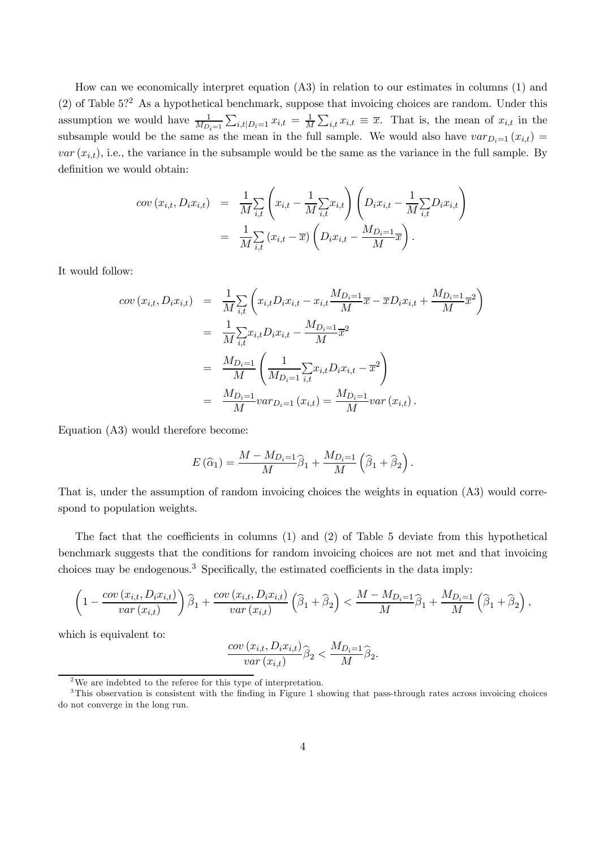How can we economically interpret equation (A3) in relation to our estimates in columns (1) and (2) of Table  $5$ ?<sup>2</sup> As a hypothetical benchmark, suppose that invoicing choices are random. Under this assumption we would have  $\frac{1}{M_{D_i=1}}\sum_{i,t|D_i=1}x_{i,t} = \frac{1}{M}\sum_{i,t}x_{i,t} \equiv \overline{x}$ . That is, the mean of  $x_{i,t}$  in the subsample would be the same as the mean in the full sample. We would also have  $var_{D_i=1} (x_{i,t}) =$  $var(x_{i,t})$ , i.e., the variance in the subsample would be the same as the variance in the full sample. By definition we would obtain:

$$
cov(x_{i,t}, D_i x_{i,t}) = \frac{1}{M} \sum_{i,t} \left( x_{i,t} - \frac{1}{M} \sum_{i,t} x_{i,t} \right) \left( D_i x_{i,t} - \frac{1}{M} \sum_{i,t} D_i x_{i,t} \right)
$$
  
= 
$$
\frac{1}{M} \sum_{i,t} (x_{i,t} - \overline{x}) \left( D_i x_{i,t} - \frac{M_{D_i=1}}{M} \overline{x} \right).
$$

It would follow:

$$
cov(x_{i,t}, D_i x_{i,t}) = \frac{1}{M} \sum_{i,t} \left( x_{i,t} D_i x_{i,t} - x_{i,t} \frac{M_{D_i=1}}{M} \overline{x} - \overline{x} D_i x_{i,t} + \frac{M_{D_i=1}}{M} \overline{x}^2 \right)
$$
  
\n
$$
= \frac{1}{M} \sum_{i,t} x_{i,t} D_i x_{i,t} - \frac{M_{D_i=1}}{M} \overline{x}^2
$$
  
\n
$$
= \frac{M_{D_i=1}}{M} \left( \frac{1}{M_{D_i=1}} \sum_{i,t} x_{i,t} D_i x_{i,t} - \overline{x}^2 \right)
$$
  
\n
$$
= \frac{M_{D_i=1}}{M} var_{D_i=1} (x_{i,t}) = \frac{M_{D_i=1}}{M} var(x_{i,t}).
$$

Equation (A3) would therefore become:

$$
E(\widehat{\alpha}_1) = \frac{M - M_{D_i=1}}{M} \widehat{\beta}_1 + \frac{M_{D_i=1}}{M} \left( \widehat{\beta}_1 + \widehat{\beta}_2 \right).
$$

That is, under the assumption of random invoicing choices the weights in equation (A3) would correspond to population weights.

The fact that the coefficients in columns  $(1)$  and  $(2)$  of Table 5 deviate from this hypothetical benchmark suggests that the conditions for random invoicing choices are not met and that invoicing choices may be endogenous.<sup>3</sup> Specifically, the estimated coefficients in the data imply:

$$
\left(1-\frac{cov(x_{i,t},D_ix_{i,t})}{var(x_{i,t})}\right)\widehat{\beta}_1+\frac{cov(x_{i,t},D_ix_{i,t})}{var(x_{i,t})}\left(\widehat{\beta}_1+\widehat{\beta}_2\right)<\frac{M-M_{D_i=1}}{M}\widehat{\beta}_1+\frac{M_{D_i=1}}{M}\left(\widehat{\beta}_1+\widehat{\beta}_2\right),
$$

which is equivalent to:

$$
\frac{cov(x_{i,t}, D_i x_{i,t})}{var(x_{i,t})}\widehat{\beta}_2 < \frac{M_{D_i=1}}{M}\widehat{\beta}_2.
$$

<sup>&</sup>lt;sup>2</sup>We are indebted to the referee for this type of interpretation.

 $3$ This observation is consistent with the finding in Figure 1 showing that pass-through rates across invoicing choices do not converge in the long run.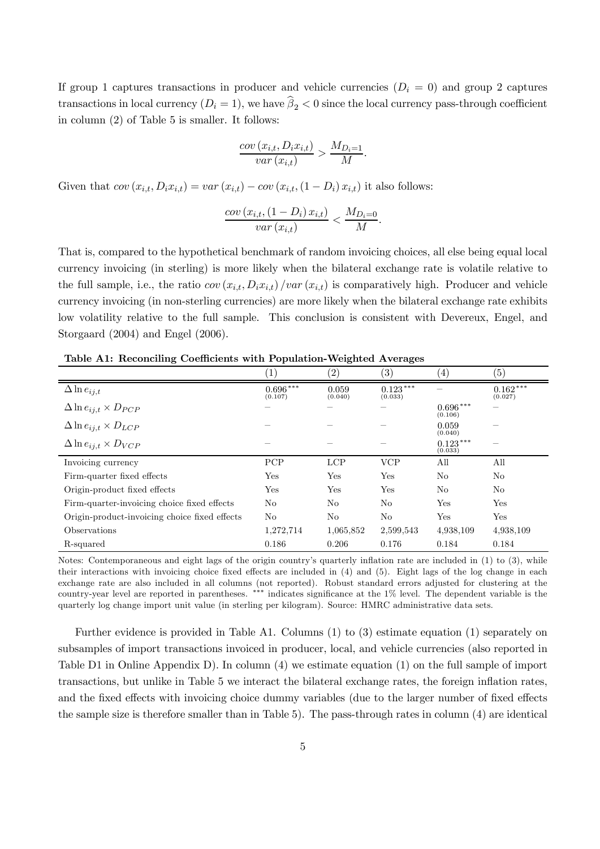If group 1 captures transactions in producer and vehicle currencies  $(D<sub>i</sub> = 0)$  and group 2 captures transactions in local currency  $(D_i = 1)$ , we have  $\beta_2 < 0$  since the local currency pass-through coefficient in column (2) of Table 5 is smaller. It follows:

$$
\frac{cov(x_{i,t}, D_i x_{i,t})}{var(x_{i,t})} > \frac{M_{D_i=1}}{M}.
$$

Given that  $cov(x_{i,t}, D_i x_{i,t}) = var(x_{i,t}) - cov(x_{i,t}, (1 - D_i) x_{i,t})$  it also follows:

$$
\frac{\operatorname{cov}\left(x_{i,t},\left(1-D_i\right)x_{i,t}\right)}{\operatorname{var}\left(x_{i,t}\right)} < \frac{M_{D_i=0}}{M}.
$$

That is, compared to the hypothetical benchmark of random invoicing choices, all else being equal local currency invoicing (in sterling) is more likely when the bilateral exchange rate is volatile relative to the full sample, i.e., the ratio  $cov(x_{i,t}, D_i x_{i,t})/var(x_{i,t})$  is comparatively high. Producer and vehicle currency invoicing (in non-sterling currencies) are more likely when the bilateral exchange rate exhibits low volatility relative to the full sample. This conclusion is consistent with Devereux, Engel, and Storgaard (2004) and Engel (2006).

| Table A1: Reconciling Coefficients with Population-Weighted Averages |  |  |
|----------------------------------------------------------------------|--|--|
|----------------------------------------------------------------------|--|--|

|                                               | $\left(1\right)$      | (2)              | $\left( 3\right)$     | (4)                   | $\left( 5\right)$     |
|-----------------------------------------------|-----------------------|------------------|-----------------------|-----------------------|-----------------------|
| $\Delta \ln e_{ij,t}$                         | $0.696***$<br>(0.107) | 0.059<br>(0.040) | $0.123***$<br>(0.033) |                       | $0.162***$<br>(0.027) |
| $\Delta \ln e_{ij,t} \times D_{PCP}$          |                       |                  |                       | $0.696***$<br>(0.106) |                       |
| $\Delta \ln e_{ij,t} \times D_{LCP}$          |                       |                  |                       | 0.059<br>(0.040)      |                       |
| $\Delta \ln e_{ij,t} \times D_{VCP}$          |                       |                  |                       | $0.123***$<br>(0.033) |                       |
| Invoicing currency                            | <b>PCP</b>            | <b>LCP</b>       | <b>VCP</b>            | All                   | All                   |
| Firm-quarter fixed effects                    | Yes                   | Yes              | Yes                   | N <sub>o</sub>        | N <sub>o</sub>        |
| Origin-product fixed effects                  | Yes                   | Yes              | Yes                   | N <sub>o</sub>        | N <sub>o</sub>        |
| Firm-quarter-invoicing choice fixed effects   | No                    | No               | N <sub>o</sub>        | Yes                   | Yes                   |
| Origin-product-invoicing choice fixed effects | No                    | No               | No                    | Yes                   | Yes                   |
| Observations                                  | 1,272,714             | 1,065,852        | 2,599,543             | 4,938,109             | 4,938,109             |
| R-squared                                     | 0.186                 | 0.206            | 0.176                 | 0.184                 | 0.184                 |

Notes: Contemporaneous and eight lags of the origin country's quarterly inflation rate are included in  $(1)$  to  $(3)$ , while their interactions with invoicing choice fixed effects are included in  $(4)$  and  $(5)$ . Eight lags of the log change in each exchange rate are also included in all columns (not reported). Robust standard errors adjusted for clustering at the country-year level are reported in parentheses.  $***$  indicates significance at the  $1\%$  level. The dependent variable is the quarterly log change import unit value (in sterling per kilogram). Source: HMRC administrative data sets.

Further evidence is provided in Table A1. Columns (1) to (3) estimate equation (1) separately on subsamples of import transactions invoiced in producer, local, and vehicle currencies (also reported in Table D1 in Online Appendix D). In column (4) we estimate equation (1) on the full sample of import transactions, but unlike in Table 5 we interact the bilateral exchange rates, the foreign in‡ation rates, and the fixed effects with invoicing choice dummy variables (due to the larger number of fixed effects the sample size is therefore smaller than in Table 5). The pass-through rates in column (4) are identical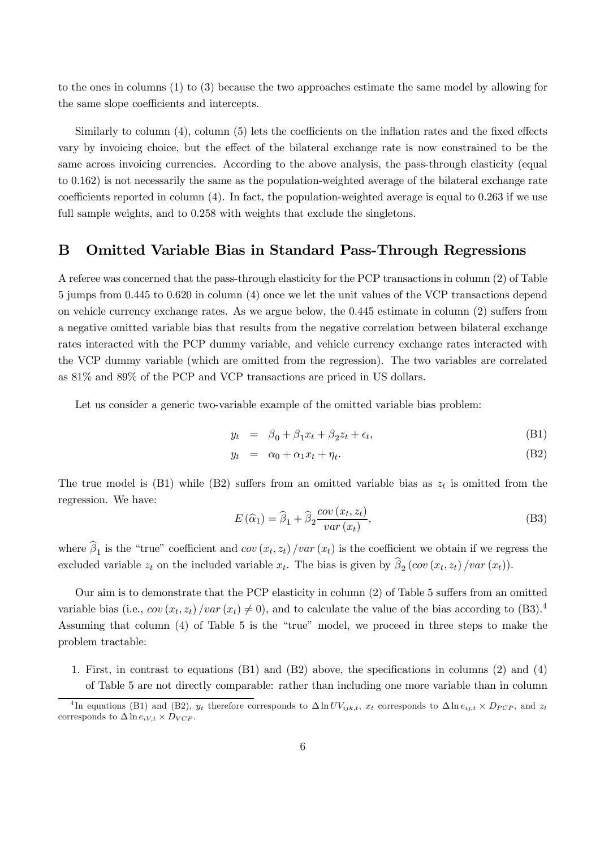to the ones in columns (1) to (3) because the two approaches estimate the same model by allowing for the same slope coefficients and intercepts.

Similarly to column  $(4)$ , column  $(5)$  lets the coefficients on the inflation rates and the fixed effects vary by invoicing choice, but the effect of the bilateral exchange rate is now constrained to be the same across invoicing currencies. According to the above analysis, the pass-through elasticity (equal to 0.162) is not necessarily the same as the population-weighted average of the bilateral exchange rate coefficients reported in column  $(4)$ . In fact, the population-weighted average is equal to 0.263 if we use full sample weights, and to  $0.258$  with weights that exclude the singletons.

### B Omitted Variable Bias in Standard Pass-Through Regressions

A referee was concerned that the pass-through elasticity for the PCP transactions in column (2) of Table 5 jumps from 0.445 to 0.620 in column (4) once we let the unit values of the VCP transactions depend on vehicle currency exchange rates. As we argue below, the  $0.445$  estimate in column  $(2)$  suffers from a negative omitted variable bias that results from the negative correlation between bilateral exchange rates interacted with the PCP dummy variable, and vehicle currency exchange rates interacted with the VCP dummy variable (which are omitted from the regression). The two variables are correlated as 81% and 89% of the PCP and VCP transactions are priced in US dollars.

Let us consider a generic two-variable example of the omitted variable bias problem:

$$
y_t = \beta_0 + \beta_1 x_t + \beta_2 z_t + \epsilon_t, \tag{B1}
$$

$$
y_t = \alpha_0 + \alpha_1 x_t + \eta_t. \tag{B2}
$$

The true model is (B1) while (B2) suffers from an omitted variable bias as  $z_t$  is omitted from the regression. We have:

$$
E(\widehat{\alpha}_1) = \widehat{\beta}_1 + \widehat{\beta}_2 \frac{\operatorname{cov}(x_t, z_t)}{\operatorname{var}(x_t)},
$$
\n(B3)

where  $\beta_1$  is the "true" coefficient and  $cov(x_t, z_t) / var(x_t)$  is the coefficient we obtain if we regress the excluded variable  $z_t$  on the included variable  $x_t$ . The bias is given by  $\beta_2$  (cov  $(x_t, z_t)$ )  $var(x_t)$ ).

Our aim is to demonstrate that the PCP elasticity in column  $(2)$  of Table 5 suffers from an omitted variable bias (i.e.,  $cov(x_t, z_t) / var(x_t) \neq 0$ ), and to calculate the value of the bias according to (B3).<sup>4</sup> Assuming that column (4) of Table 5 is the "true" model, we proceed in three steps to make the problem tractable:

1. First, in contrast to equations  $(B1)$  and  $(B2)$  above, the specifications in columns  $(2)$  and  $(4)$ of Table 5 are not directly comparable: rather than including one more variable than in column

<sup>&</sup>lt;sup>4</sup>In equations (B1) and (B2),  $y_t$  therefore corresponds to  $\Delta \ln UV_{ijk,t}$ ,  $x_t$  corresponds to  $\Delta \ln e_{ij,t} \times D_{PCP}$ , and  $z_t$ corresponds to  $\Delta \ln e_{iV,t} \times D_{VCP}$ .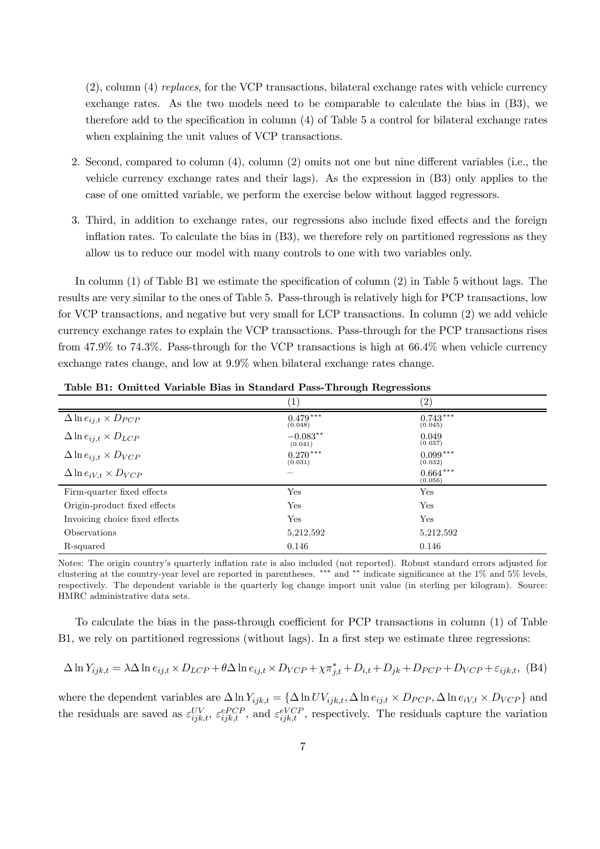(2), column (4) *replaces*, for the VCP transactions, bilateral exchange rates with vehicle currency exchange rates. As the two models need to be comparable to calculate the bias in (B3), we therefore add to the specification in column  $(4)$  of Table 5 a control for bilateral exchange rates when explaining the unit values of VCP transactions.

- 2. Second, compared to column  $(4)$ , column  $(2)$  omits not one but nine different variables (i.e., the vehicle currency exchange rates and their lags). As the expression in (B3) only applies to the case of one omitted variable, we perform the exercise below without lagged regressors.
- 3. Third, in addition to exchange rates, our regressions also include fixed effects and the foreign inflation rates. To calculate the bias in  $(B3)$ , we therefore rely on partitioned regressions as they allow us to reduce our model with many controls to one with two variables only.

In column  $(1)$  of Table B1 we estimate the specification of column  $(2)$  in Table 5 without lags. The results are very similar to the ones of Table 5. Pass-through is relatively high for PCP transactions, low for VCP transactions, and negative but very small for LCP transactions. In column (2) we add vehicle currency exchange rates to explain the VCP transactions. Pass-through for the PCP transactions rises from 47.9% to 74.3%. Pass-through for the VCP transactions is high at 66.4% when vehicle currency exchange rates change, and low at 9.9% when bilateral exchange rates change.

|                                      | $\left  \right $         | $\left( 2\right)$     |
|--------------------------------------|--------------------------|-----------------------|
| $\Delta \ln e_{ij,t} \times D_{PCP}$ | $0.479***$<br>(0.048)    | $0.743***$<br>(0.045) |
| $\Delta \ln e_{ij,t} \times D_{LCP}$ | $-0.083**$<br>(0.041)    | 0.049<br>(0.037)      |
| $\Delta \ln e_{ij,t} \times D_{VCP}$ | $0.270***$<br>(0.031)    | $0.099***$<br>(0.032) |
| $\Delta \ln e_{iV,t} \times D_{VCP}$ | $\overline{\phantom{a}}$ | $0.664***$<br>(0.056) |
| Firm-quarter fixed effects           | Yes                      | Yes                   |
| Origin-product fixed effects         | Yes                      | Yes                   |
| Invoicing choice fixed effects       | Yes                      | Yes                   |
| Observations                         | 5,212,592                | 5,212,592             |
| R-squared                            | 0.146                    | 0.146                 |

Table B1: Omitted Variable Bias in Standard Pass-Through Regressions

Notes: The origin country's quarterly inflation rate is also included (not reported). Robust standard errors adjusted for clustering at the country-year level are reported in parentheses. \*\*\* and \*\* indicate significance at the  $1\%$  and  $5\%$  levels, respectively. The dependent variable is the quarterly log change import unit value (in sterling per kilogram). Source: HMRC administrative data sets.

To calculate the bias in the pass-through coefficient for PCP transactions in column  $(1)$  of Table B1, we rely on partitioned regressions (without lags). In a first step we estimate three regressions:

$$
\Delta \ln Y_{ijk,t} = \lambda \Delta \ln e_{ij,t} \times D_{LCP} + \theta \Delta \ln e_{ij,t} \times D_{VCP} + \chi \pi_{j,t}^{*} + D_{i,t} + D_{jk} + D_{PCP} + D_{VCP} + \varepsilon_{ijk,t}, \quad (B4)
$$

where the dependent variables are  $\Delta \ln Y_{ijk,t} = \{\Delta \ln UV_{ijk,t}, \Delta \ln e_{ij,t} \times D_{PCP}, \Delta \ln e_{iV,t} \times D_{VCP}\}\$  and the residuals are saved as  $\varepsilon_{ijk,t}^{UV}, \varepsilon_{ijk,t}^{ePCP}$ , and  $\varepsilon_{ijk,t}^{eVCP}$ , respectively. The residuals capture the variation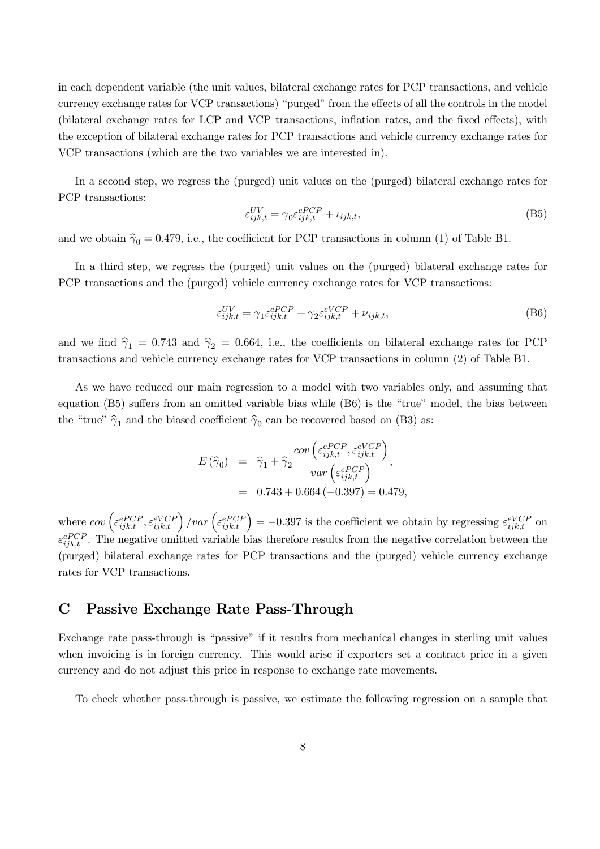in each dependent variable (the unit values, bilateral exchange rates for PCP transactions, and vehicle currency exchange rates for VCP transactions) "purged" from the effects of all the controls in the model (bilateral exchange rates for LCP and VCP transactions, inflation rates, and the fixed effects), with the exception of bilateral exchange rates for PCP transactions and vehicle currency exchange rates for VCP transactions (which are the two variables we are interested in).

In a second step, we regress the (purged) unit values on the (purged) bilateral exchange rates for PCP transactions:

$$
\varepsilon_{ijk,t}^{UV} = \gamma_0 \varepsilon_{ijk,t}^{ePCP} + \iota_{ijk,t},\tag{B5}
$$

and we obtain  $\hat{\gamma}_0 = 0.479$ , i.e., the coefficient for PCP transactions in column (1) of Table B1.

In a third step, we regress the (purged) unit values on the (purged) bilateral exchange rates for PCP transactions and the (purged) vehicle currency exchange rates for VCP transactions:

$$
\varepsilon_{ijk,t}^{UV} = \gamma_1 \varepsilon_{ijk,t}^{ePCP} + \gamma_2 \varepsilon_{ijk,t}^{eVCP} + \nu_{ijk,t},\tag{B6}
$$

and we find  $\hat{\gamma}_1 = 0.743$  and  $\hat{\gamma}_2 = 0.664$ , i.e., the coefficients on bilateral exchange rates for PCP transactions and vehicle currency exchange rates for VCP transactions in column (2) of Table B1.

As we have reduced our main regression to a model with two variables only, and assuming that equation  $(B5)$  suffers from an omitted variable bias while  $(B6)$  is the "true" model, the bias between the "true"  $\hat{\gamma}_1$  and the biased coefficient  $\hat{\gamma}_0$  can be recovered based on (B3) as:

$$
E(\widehat{\gamma}_0) = \widehat{\gamma}_1 + \widehat{\gamma}_2 \frac{cov\left(\varepsilon_{ijk,t}^{ePCP}, \varepsilon_{ijk,t}^{eVCP}\right)}{var\left(\varepsilon_{ijk,t}^{ePCP}\right)},
$$
  
= 0.743 + 0.664 (-0.397) = 0.479,

where  $cov\left(\varepsilon_{ijk,t}^{ePCP},\varepsilon_{ijk,t}^{eVCP}\right)$  $\int \sqrt{var\left(\varepsilon_{ijk,t}^{ePCF}\right)}$  $= -0.397$  is the coefficient we obtain by regressing  $\varepsilon_{ijk,t}^{eVCP}$  on  $\varepsilon_{ijk,t}^{ePCP}$ . The negative omitted variable bias therefore results from the negative correlation between the (purged) bilateral exchange rates for PCP transactions and the (purged) vehicle currency exchange rates for VCP transactions.

### C Passive Exchange Rate Pass-Through

Exchange rate pass-through is "passive" if it results from mechanical changes in sterling unit values when invoicing is in foreign currency. This would arise if exporters set a contract price in a given currency and do not adjust this price in response to exchange rate movements.

To check whether pass-through is passive, we estimate the following regression on a sample that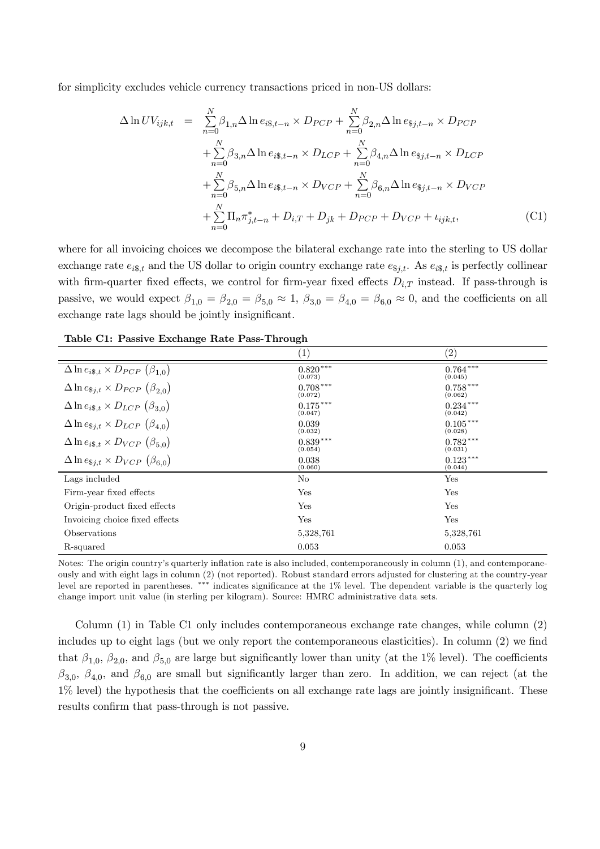for simplicity excludes vehicle currency transactions priced in non-US dollars:

$$
\Delta \ln UV_{ijk,t} = \sum_{n=0}^{N} \beta_{1,n} \Delta \ln e_{i\$,t-n} \times D_{PCP} + \sum_{n=0}^{N} \beta_{2,n} \Delta \ln e_{\$j,t-n} \times D_{PCP} \n+ \sum_{n=0}^{N} \beta_{3,n} \Delta \ln e_{i\$,t-n} \times D_{LCP} + \sum_{n=0}^{N} \beta_{4,n} \Delta \ln e_{\$j,t-n} \times D_{LCP} \n+ \sum_{n=0}^{N} \beta_{5,n} \Delta \ln e_{i\$,t-n} \times D_{VCP} + \sum_{n=0}^{N} \beta_{6,n} \Delta \ln e_{\$j,t-n} \times D_{VCP} \n+ \sum_{n=0}^{N} \Pi_n \pi_{j,t-n}^* + D_{i,T} + D_{jk} + D_{PCP} + D_{VCP} + \iota_{ijk,t},
$$
\n(C1)

where for all invoicing choices we decompose the bilateral exchange rate into the sterling to US dollar exchange rate  $e_{i\$ bf{s},t} and the US dollar to origin country exchange rate  $e_{\$j,t}$ . As  $e_{i\$,t}$  is perfectly collinear with firm-quarter fixed effects, we control for firm-year fixed effects  $D_{i,T}$  instead. If pass-through is passive, we would expect  $\beta_{1,0} = \beta_{2,0} = \beta_{5,0} \approx 1$ ,  $\beta_{3,0} = \beta_{4,0} = \beta_{6,0} \approx 0$ , and the coefficients on all exchange rate lags should be jointly insignificant.

|                                                     | $\left(1\right)$      | $\left( 2\right)$     |
|-----------------------------------------------------|-----------------------|-----------------------|
| $\Delta \ln e_{i\$,t} \times D_{PCP} (\beta_{1,0})$ | $0.820***$<br>(0.073) | $0.764***$<br>(0.045) |
| $\Delta \ln e_{\$j,t} \times D_{PCP} (\beta_{2,0})$ | $0.708***$<br>(0.072) | $0.758***$<br>(0.062) |
| $\Delta \ln e_{i\$,t} \times D_{LCP} (\beta_{3,0})$ | $0.175***$<br>(0.047) | $0.234***$<br>(0.042) |
| $\Delta \ln e_{\$j,t} \times D_{LCP} (\beta_{4,0})$ | 0.039<br>(0.032)      | $0.105***$<br>(0.028) |
| $\Delta \ln e_{i\$,t} \times D_{VCP} (\beta_{5,0})$ | $0.839***$<br>(0.054) | $0.782***$<br>(0.031) |
| $\Delta \ln e_{\$j,t} \times D_{VCP} (\beta_{6.0})$ | 0.038<br>(0.060)      | $0.123***$<br>(0.044) |
| Lags included                                       | No                    | Yes                   |
| Firm-year fixed effects                             | Yes                   | Yes                   |
| Origin-product fixed effects                        | Yes                   | Yes                   |
| Invoicing choice fixed effects                      | Yes                   | Yes                   |
| Observations                                        | 5,328,761             | 5,328,761             |
| R-squared                                           | 0.053                 | 0.053                 |

Table C1: Passive Exchange Rate Pass-Through

Notes: The origin country's quarterly inflation rate is also included, contemporaneously in column (1), and contemporaneously and with eight lags in column (2) (not reported). Robust standard errors adjusted for clustering at the country-year level are reported in parentheses. \*\*\* indicates significance at the  $1\%$  level. The dependent variable is the quarterly log change import unit value (in sterling per kilogram). Source: HMRC administrative data sets.

Column (1) in Table C1 only includes contemporaneous exchange rate changes, while column (2) includes up to eight lags (but we only report the contemporaneous elasticities). In column  $(2)$  we find that  $\beta_{1,0}, \beta_{2,0}$ , and  $\beta_{5,0}$  are large but significantly lower than unity (at the 1% level). The coefficients  $\beta_{3,0}, \beta_{4,0}$ , and  $\beta_{6,0}$  are small but significantly larger than zero. In addition, we can reject (at the  $1\%$  level) the hypothesis that the coefficients on all exchange rate lags are jointly insignificant. These results confirm that pass-through is not passive.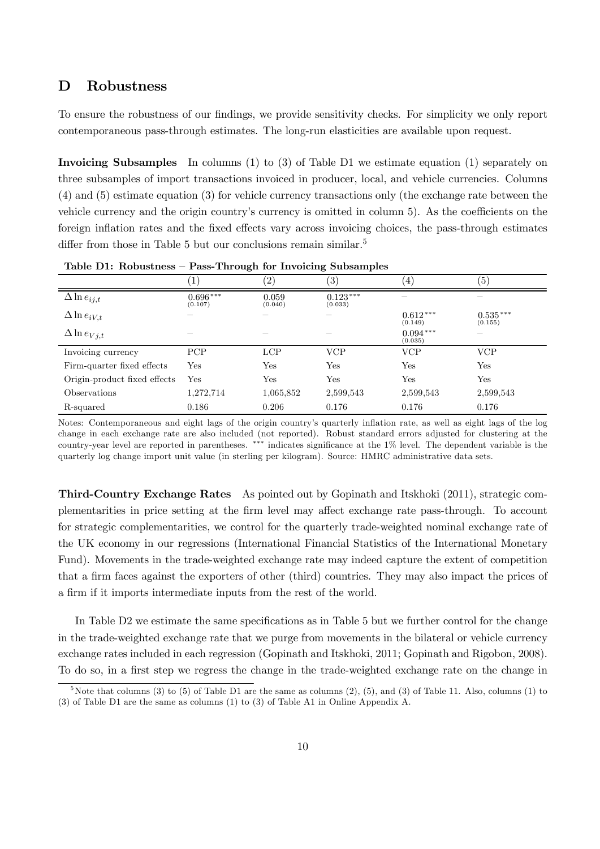## D Robustness

To ensure the robustness of our findings, we provide sensitivity checks. For simplicity we only report contemporaneous pass-through estimates. The long-run elasticities are available upon request.

Invoicing Subsamples In columns (1) to (3) of Table D1 we estimate equation (1) separately on three subsamples of import transactions invoiced in producer, local, and vehicle currencies. Columns (4) and (5) estimate equation (3) for vehicle currency transactions only (the exchange rate between the vehicle currency and the origin country's currency is omitted in column 5). As the coefficients on the foreign inflation rates and the fixed effects vary across invoicing choices, the pass-through estimates differ from those in Table 5 but our conclusions remain similar.<sup>5</sup>

|                              | $\mathbf{1}$             | $\left( 2\right)$ | $\overline{\phantom{a}}$<br>$\left( 3\right)$ | $\overline{4}$        | (5)                      |
|------------------------------|--------------------------|-------------------|-----------------------------------------------|-----------------------|--------------------------|
| $\Delta \ln e_{ij,t}$        | $0.696***$<br>(0.107)    | 0.059<br>(0.040)  | $0.123***$<br>(0.033)                         |                       | $\overline{\phantom{a}}$ |
| $\Delta \ln e_{iV,t}$        |                          |                   |                                               | $0.612***$<br>(0.149) | $0.535***$<br>(0.155)    |
| $\Delta \ln e_{Vj,t}$        | $\overline{\phantom{a}}$ |                   |                                               | $0.094***$<br>(0.035) | $\overline{\phantom{a}}$ |
| Invoicing currency           | PCP                      | <b>LCP</b>        | <b>VCP</b>                                    | <b>VCP</b>            | <b>VCP</b>               |
| Firm-quarter fixed effects   | Yes                      | Yes               | Yes                                           | Yes                   | Yes                      |
| Origin-product fixed effects | Yes                      | Yes               | Yes                                           | Yes                   | Yes                      |
| Observations                 | 1,272,714                | 1,065,852         | 2,599,543                                     | 2,599,543             | 2,599,543                |
| R-squared                    | 0.186                    | 0.206             | 0.176                                         | 0.176                 | 0.176                    |

Table D1: Robustness – Pass-Through for Invoicing Subsamples

Notes: Contemporaneous and eight lags of the origin country's quarterly inflation rate, as well as eight lags of the log change in each exchange rate are also included (not reported). Robust standard errors adjusted for clustering at the country-year level are reported in parentheses.  $***$  indicates significance at the  $1\%$  level. The dependent variable is the quarterly log change import unit value (in sterling per kilogram). Source: HMRC administrative data sets.

Third-Country Exchange Rates As pointed out by Gopinath and Itskhoki (2011), strategic complementarities in price setting at the firm level may affect exchange rate pass-through. To account for strategic complementarities, we control for the quarterly trade-weighted nominal exchange rate of the UK economy in our regressions (International Financial Statistics of the International Monetary Fund). Movements in the trade-weighted exchange rate may indeed capture the extent of competition that a firm faces against the exporters of other (third) countries. They may also impact the prices of a firm if it imports intermediate inputs from the rest of the world.

In Table D2 we estimate the same specifications as in Table 5 but we further control for the change in the trade-weighted exchange rate that we purge from movements in the bilateral or vehicle currency exchange rates included in each regression (Gopinath and Itskhoki, 2011; Gopinath and Rigobon, 2008). To do so, in a first step we regress the change in the trade-weighted exchange rate on the change in

 ${}^5$ Note that columns  $(3)$  to  $(5)$  of Table D1 are the same as columns  $(2)$ ,  $(5)$ , and  $(3)$  of Table 11. Also, columns  $(1)$  to (3) of Table D1 are the same as columns (1) to (3) of Table A1 in Online Appendix A.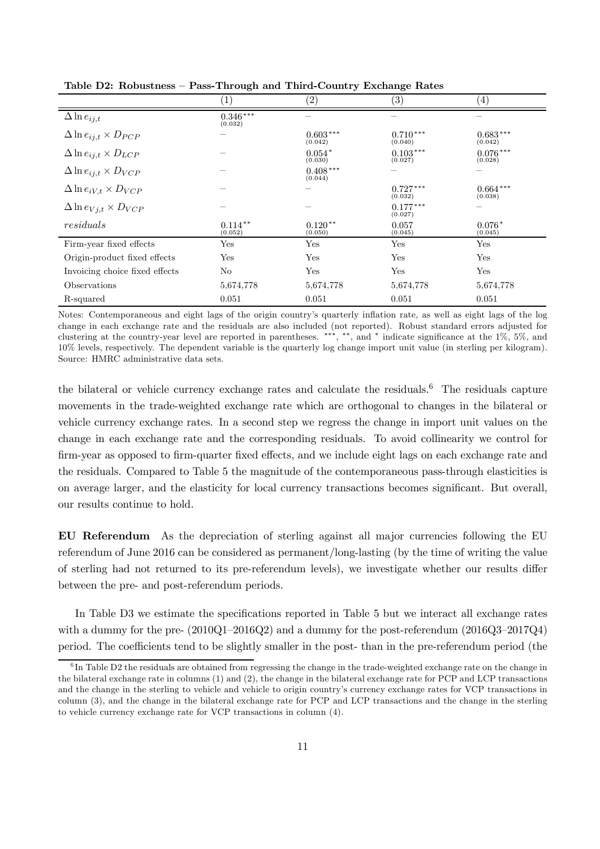|                                      | $\left(1\right)$        | $\left( 2\right)$          | $\left( 3\right)$     | $\left( 4\right)$     |
|--------------------------------------|-------------------------|----------------------------|-----------------------|-----------------------|
| $\Delta \ln e_{ij,t}$                | $0.346\,***$<br>(0.032) |                            |                       |                       |
| $\Delta \ln e_{ij,t} \times D_{PCP}$ |                         | $0.603^{\,***}$<br>(0.042) | $0.710***$<br>(0.040) | $0.683***$<br>(0.042) |
| $\Delta \ln e_{ij,t} \times D_{LCP}$ |                         | $0.054*$<br>(0.030)        | $0.103***$<br>(0.027) | $0.076***$<br>(0.028) |
| $\Delta \ln e_{ij,t} \times D_{VCP}$ |                         | $0.408***$<br>(0.044)      |                       |                       |
| $\Delta \ln e_{iV,t} \times D_{VCP}$ |                         |                            | $0.727***$<br>(0.032) | $0.664***$<br>(0.038) |
| $\Delta \ln e_{Vj,t} \times D_{VCP}$ |                         |                            | $0.177***$<br>(0.027) |                       |
| residuals                            | $0.114***$<br>(0.052)   | $0.120**$<br>(0.050)       | 0.057<br>(0.045)      | $0.076*$<br>(0.045)   |
| Firm-year fixed effects              | Yes                     | Yes                        | Yes                   | Yes                   |
| Origin-product fixed effects         | Yes                     | Yes                        | Yes                   | Yes                   |
| Invoicing choice fixed effects       | No                      | Yes                        | Yes                   | Yes                   |
| Observations                         | 5,674,778               | 5,674,778                  | 5,674,778             | 5,674,778             |
| R-squared                            | 0.051                   | 0.051                      | 0.051                 | 0.051                 |

Table D2: Robustness – Pass-Through and Third-Country Exchange Rates

Notes: Contemporaneous and eight lags of the origin country's quarterly in‡ation rate, as well as eight lags of the log change in each exchange rate and the residuals are also included (not reported). Robust standard errors adjusted for clustering at the country-year level are reported in parentheses. \*\*\*, \*\*, and \* indicate significance at the  $1\%$ ,  $5\%$ , and 10% levels, respectively. The dependent variable is the quarterly log change import unit value (in sterling per kilogram). Source: HMRC administrative data sets.

the bilateral or vehicle currency exchange rates and calculate the residuals.<sup>6</sup> The residuals capture movements in the trade-weighted exchange rate which are orthogonal to changes in the bilateral or vehicle currency exchange rates. In a second step we regress the change in import unit values on the change in each exchange rate and the corresponding residuals. To avoid collinearity we control for firm-year as opposed to firm-quarter fixed effects, and we include eight lags on each exchange rate and the residuals. Compared to Table 5 the magnitude of the contemporaneous pass-through elasticities is on average larger, and the elasticity for local currency transactions becomes significant. But overall, our results continue to hold.

EU Referendum As the depreciation of sterling against all major currencies following the EU referendum of June 2016 can be considered as permanent/long-lasting (by the time of writing the value of sterling had not returned to its pre-referendum levels), we investigate whether our results differ between the pre- and post-referendum periods.

In Table D3 we estimate the specifications reported in Table 5 but we interact all exchange rates with a dummy for the pre-  $(2010Q1-2016Q2)$  and a dummy for the post-referendum  $(2016Q3-2017Q4)$ period. The coefficients tend to be slightly smaller in the post- than in the pre-referendum period (the

<sup>&</sup>lt;sup>6</sup>In Table D2 the residuals are obtained from regressing the change in the trade-weighted exchange rate on the change in the bilateral exchange rate in columns (1) and (2), the change in the bilateral exchange rate for PCP and LCP transactions and the change in the sterling to vehicle and vehicle to origin country's currency exchange rates for VCP transactions in column (3), and the change in the bilateral exchange rate for PCP and LCP transactions and the change in the sterling to vehicle currency exchange rate for VCP transactions in column (4).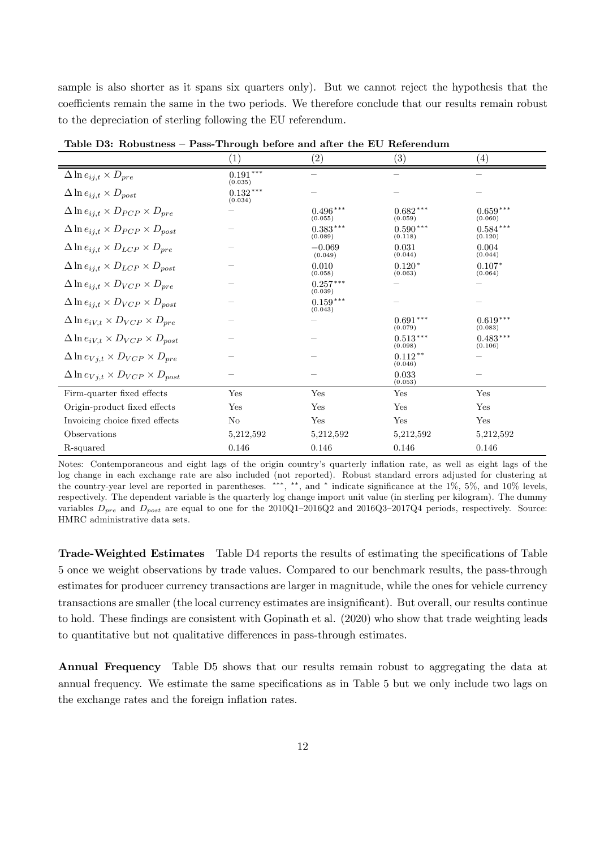sample is also shorter as it spans six quarters only). But we cannot reject the hypothesis that the coefficients remain the same in the two periods. We therefore conclude that our results remain robust to the depreciation of sterling following the EU referendum.

|                                                      | (1)                   | (2)                     | $\left( 3\right)$     | (4)                   |
|------------------------------------------------------|-----------------------|-------------------------|-----------------------|-----------------------|
| $\Delta \ln e_{ij,t} \times D_{pre}$                 | $0.191***$<br>(0.035) |                         |                       |                       |
| $\Delta \ln e_{ij,t} \times D_{post}$                | $0.132***$<br>(0.034) |                         |                       |                       |
| $\Delta \ln e_{ij,t} \times D_{PCP} \times D_{pre}$  |                       | $0.496***$<br>(0.055)   | $0.682***$<br>(0.059) | $0.659***$<br>(0.060) |
| $\Delta \ln e_{ij,t} \times D_{PCP} \times D_{post}$ |                       | $0.383\,***$<br>(0.089) | $0.590***$<br>(0.118) | $0.584***$<br>(0.120) |
| $\Delta \ln e_{ij,t} \times D_{LCP} \times D_{pre}$  |                       | $-0.069$<br>(0.049)     | 0.031<br>(0.044)      | 0.004<br>(0.044)      |
| $\Delta \ln e_{ij,t} \times D_{LCP} \times D_{post}$ |                       | 0.010<br>(0.058)        | $0.120*$<br>(0.063)   | $0.107*$<br>(0.064)   |
| $\Delta \ln e_{ij,t} \times D_{VCP} \times D_{pre}$  |                       | $0.257***$<br>(0.039)   |                       |                       |
| $\Delta \ln e_{ij,t} \times D_{VCP} \times D_{post}$ |                       | $0.159***$<br>(0.043)   |                       |                       |
| $\Delta \ln e_{iV,t} \times D_{VCP} \times D_{pre}$  |                       |                         | $0.691***$<br>(0.079) | $0.619***$<br>(0.083) |
| $\Delta \ln e_{iV,t} \times D_{VCP} \times D_{post}$ |                       |                         | $0.513***$<br>(0.098) | $0.483***$<br>(0.106) |
| $\Delta \ln e_{Vj,t} \times D_{VCP} \times D_{pre}$  |                       |                         | $0.112**$<br>(0.046)  |                       |
| $\Delta \ln e_{Vj,t} \times D_{VCP} \times D_{post}$ |                       |                         | 0.033<br>(0.053)      |                       |
| Firm-quarter fixed effects                           | Yes                   | Yes                     | Yes                   | Yes                   |
| Origin-product fixed effects                         | Yes                   | Yes                     | Yes                   | Yes                   |
| Invoicing choice fixed effects                       | N <sub>o</sub>        | Yes                     | Yes                   | Yes                   |
| Observations                                         | 5,212,592             | 5,212,592               | 5,212,592             | 5,212,592             |
| R-squared                                            | 0.146                 | 0.146                   | 0.146                 | 0.146                 |

Table D3: Robustness – Pass-Through before and after the EU Referendum

Notes: Contemporaneous and eight lags of the origin country's quarterly in‡ation rate, as well as eight lags of the log change in each exchange rate are also included (not reported). Robust standard errors adjusted for clustering at the country-year level are reported in parentheses. \*\*\*, \*\*, and \* indicate significance at the  $1\%$ ,  $5\%$ , and  $10\%$  levels, respectively. The dependent variable is the quarterly log change import unit value (in sterling per kilogram). The dummy variables  $D_{pre}$  and  $D_{post}$  are equal to one for the 2010Q1–2016Q2 and 2016Q3–2017Q4 periods, respectively. Source: HMRC administrative data sets.

Trade-Weighted Estimates Table D4 reports the results of estimating the specifications of Table 5 once we weight observations by trade values. Compared to our benchmark results, the pass-through estimates for producer currency transactions are larger in magnitude, while the ones for vehicle currency transactions are smaller (the local currency estimates are insignificant). But overall, our results continue to hold. These findings are consistent with Gopinath et al.  $(2020)$  who show that trade weighting leads to quantitative but not qualitative differences in pass-through estimates.

Annual Frequency Table D5 shows that our results remain robust to aggregating the data at annual frequency. We estimate the same specifications as in Table 5 but we only include two lags on the exchange rates and the foreign inflation rates.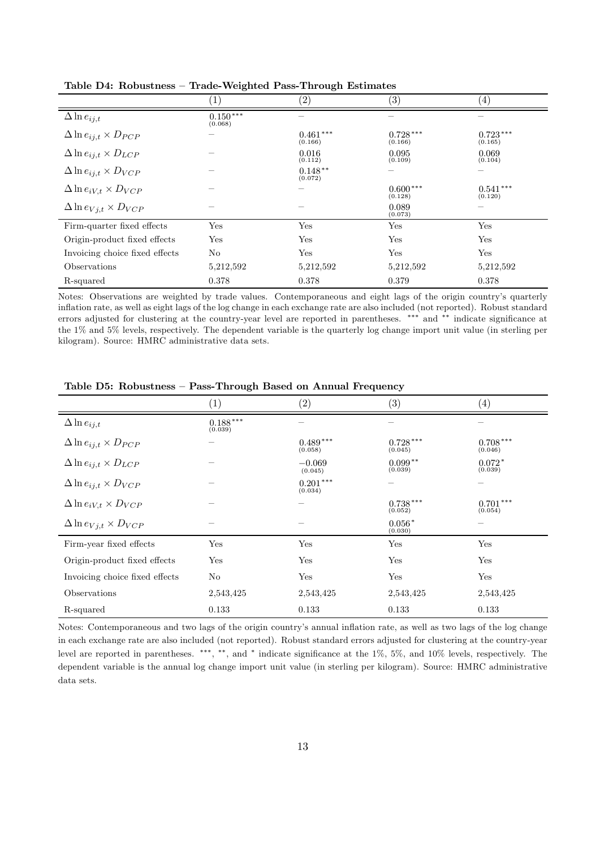|                                      | $1^{\circ}$           | (2)                   | $\left( 3\right)$     | (4)                     |
|--------------------------------------|-----------------------|-----------------------|-----------------------|-------------------------|
| $\Delta \ln e_{ij,t}$                | $0.150***$<br>(0.068) |                       |                       |                         |
| $\Delta \ln e_{ij,t} \times D_{PCP}$ |                       | $0.461***$<br>(0.166) | $0.728***$<br>(0.166) | $0.723***$<br>(0.165)   |
| $\Delta \ln e_{ij,t} \times D_{LCP}$ |                       | 0.016<br>(0.112)      | 0.095<br>(0.109)      | 0.069<br>(0.104)        |
| $\Delta \ln e_{ij,t} \times D_{VCP}$ |                       | $0.148**$<br>(0.072)  |                       |                         |
| $\Delta \ln e_{iV,t} \times D_{VCP}$ |                       |                       | $0.600***$<br>(0.128) | $0.541\,***$<br>(0.120) |
| $\Delta \ln e_{Vj,t} \times D_{VCP}$ |                       |                       | 0.089<br>(0.073)      |                         |
| Firm-quarter fixed effects           | Yes                   | Yes                   | Yes                   | Yes                     |
| Origin-product fixed effects         | Yes                   | Yes                   | Yes                   | Yes                     |
| Invoicing choice fixed effects       | No                    | Yes                   | Yes                   | Yes                     |
| Observations                         | 5,212,592             | 5,212,592             | 5,212,592             | 5,212,592               |
| R-squared                            | 0.378                 | 0.378                 | 0.379                 | 0.378                   |

Table D4: Robustness – Trade-Weighted Pass-Through Estimates

Notes: Observations are weighted by trade values. Contemporaneous and eight lags of the origin country's quarterly inflation rate, as well as eight lags of the log change in each exchange rate are also included (not reported). Robust standard errors adjusted for clustering at the country-year level are reported in parentheses. \*\*\* and \*\* indicate significance at the 1% and 5% levels, respectively. The dependent variable is the quarterly log change import unit value (in sterling per kilogram). Source: HMRC administrative data sets.

|                                      | $\left( 1\right)$     | (2)                   | $\left( 3\right)$     | $\left( 4\right)$     |
|--------------------------------------|-----------------------|-----------------------|-----------------------|-----------------------|
| $\Delta \ln e_{ij,t}$                | $0.188***$<br>(0.039) |                       |                       | -                     |
| $\Delta \ln e_{ij,t} \times D_{PCP}$ |                       | $0.489***$<br>(0.058) | $0.728***$<br>(0.045) | $0.708***$<br>(0.046) |
| $\Delta \ln e_{ij,t} \times D_{LCP}$ |                       | $-0.069$<br>(0.045)   | $0.099**$<br>(0.039)  | $0.072*$<br>(0.039)   |
| $\Delta \ln e_{ij,t} \times D_{VCP}$ |                       | $0.201***$<br>(0.034) |                       |                       |
| $\Delta \ln e_{iV,t} \times D_{VCP}$ |                       |                       | $0.738***$<br>(0.052) | $0.701***$<br>(0.054) |
| $\Delta \ln e_{Vj,t} \times D_{VCP}$ |                       |                       | $0.056*$<br>(0.030)   |                       |
| Firm-year fixed effects              | Yes                   | Yes                   | Yes                   | Yes                   |
| Origin-product fixed effects         | Yes                   | Yes                   | Yes                   | Yes                   |
| Invoicing choice fixed effects       | No                    | Yes                   | Yes                   | Yes                   |
| Observations                         | 2,543,425             | 2,543,425             | 2,543,425             | 2,543,425             |
| R-squared                            | 0.133                 | 0.133                 | 0.133                 | 0.133                 |

Table D5: Robustness – Pass-Through Based on Annual Frequency

Notes: Contemporaneous and two lags of the origin country's annual inflation rate, as well as two lags of the log change in each exchange rate are also included (not reported). Robust standard errors adjusted for clustering at the country-year level are reported in parentheses. \*\*\*, \*\*, and \* indicate significance at the  $1\%$ ,  $5\%$ , and  $10\%$  levels, respectively. The dependent variable is the annual log change import unit value (in sterling per kilogram). Source: HMRC administrative data sets.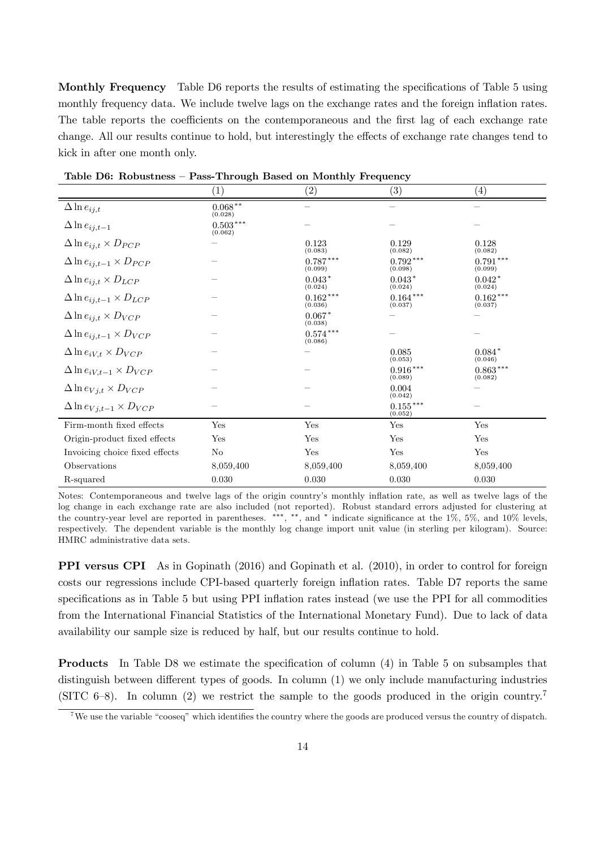Monthly Frequency Table D6 reports the results of estimating the specifications of Table 5 using monthly frequency data. We include twelve lags on the exchange rates and the foreign inflation rates. The table reports the coefficients on the contemporaneous and the first lag of each exchange rate change. All our results continue to hold, but interestingly the effects of exchange rate changes tend to kick in after one month only.

| таріс ро, тарразенськ                  | 1 ass-11 bugh Dasca on monthly requester |                       |                         |                       |  |
|----------------------------------------|------------------------------------------|-----------------------|-------------------------|-----------------------|--|
|                                        | $\left( 1\right)$                        | $\left( 2\right)$     | (3)                     | $\left( 4\right)$     |  |
| $\Delta \ln e_{ij,t}$                  | $0.068^{\,*\,*}$<br>(0.028)              |                       |                         |                       |  |
| $\Delta \ln e_{ij,t-1}$                | $0.503***$<br>(0.062)                    |                       |                         |                       |  |
| $\Delta \ln e_{ij,t} \times D_{PCP}$   |                                          | 0.123<br>(0.083)      | 0.129<br>(0.082)        | 0.128<br>(0.082)      |  |
| $\Delta \ln e_{ij,t-1} \times D_{PCP}$ |                                          | $0.787***$<br>(0.099) | $0.792***$<br>(0.098)   | $0.791***$<br>(0.099) |  |
| $\Delta \ln e_{ij,t} \times D_{LCP}$   |                                          | $0.043*$<br>(0.024)   | $0.043*$<br>(0.024)     | $0.042*$<br>(0.024)   |  |
| $\Delta \ln e_{ij,t-1} \times D_{LCP}$ |                                          | $0.162***$<br>(0.036) | $0.164***$<br>(0.037)   | $0.162***$<br>(0.037) |  |
| $\Delta \ln e_{ij,t} \times D_{VCP}$   |                                          | $0.067*$<br>(0.038)   |                         |                       |  |
| $\Delta \ln e_{ij,t-1} \times D_{VCP}$ |                                          | $0.574***$<br>(0.086) |                         |                       |  |
| $\Delta \ln e_{iV,t} \times D_{VCP}$   |                                          |                       | 0.085<br>(0.053)        | $0.084*$<br>(0.046)   |  |
| $\Delta \ln e_{iV,t-1} \times D_{VCP}$ |                                          |                       | $0.916***$<br>(0.089)   | $0.863***$<br>(0.082) |  |
| $\Delta \ln e_{Vj,t} \times D_{VCP}$   |                                          |                       | 0.004<br>(0.042)        |                       |  |
| $\Delta \ln e_{Vj,t-1} \times D_{VCP}$ |                                          |                       | $0.155\,***$<br>(0.052) |                       |  |
| Firm-month fixed effects               | Yes                                      | Yes                   | Yes                     | Yes                   |  |
| Origin-product fixed effects           | Yes                                      | Yes                   | Yes                     | Yes                   |  |
| Invoicing choice fixed effects         | N <sub>o</sub>                           | Yes                   | Yes                     | Yes                   |  |
| Observations                           | 8,059,400                                | 8,059,400             | 8,059,400               | 8,059,400             |  |
| R-squared                              | 0.030                                    | 0.030                 | 0.030                   | 0.030                 |  |

Table D6: Robustness – Pass-Through Based on Monthly Frequency

Notes: Contemporaneous and twelve lags of the origin country's monthly inflation rate, as well as twelve lags of the log change in each exchange rate are also included (not reported). Robust standard errors adjusted for clustering at the country-year level are reported in parentheses. \*\*\*, \*\*, and \* indicate significance at the  $1\%$ ,  $5\%$ , and  $10\%$  levels, respectively. The dependent variable is the monthly log change import unit value (in sterling per kilogram). Source: HMRC administrative data sets.

PPI versus CPI As in Gopinath (2016) and Gopinath et al. (2010), in order to control for foreign costs our regressions include CPI-based quarterly foreign inflation rates. Table D7 reports the same specifications as in Table 5 but using PPI inflation rates instead (we use the PPI for all commodities from the International Financial Statistics of the International Monetary Fund). Due to lack of data availability our sample size is reduced by half, but our results continue to hold.

**Products** In Table D8 we estimate the specification of column (4) in Table 5 on subsamples that distinguish between different types of goods. In column  $(1)$  we only include manufacturing industries (SITC 6–8). In column (2) we restrict the sample to the goods produced in the origin country.<sup>7</sup>

<sup>&</sup>lt;sup>7</sup>We use the variable "cooseq" which identifies the country where the goods are produced versus the country of dispatch.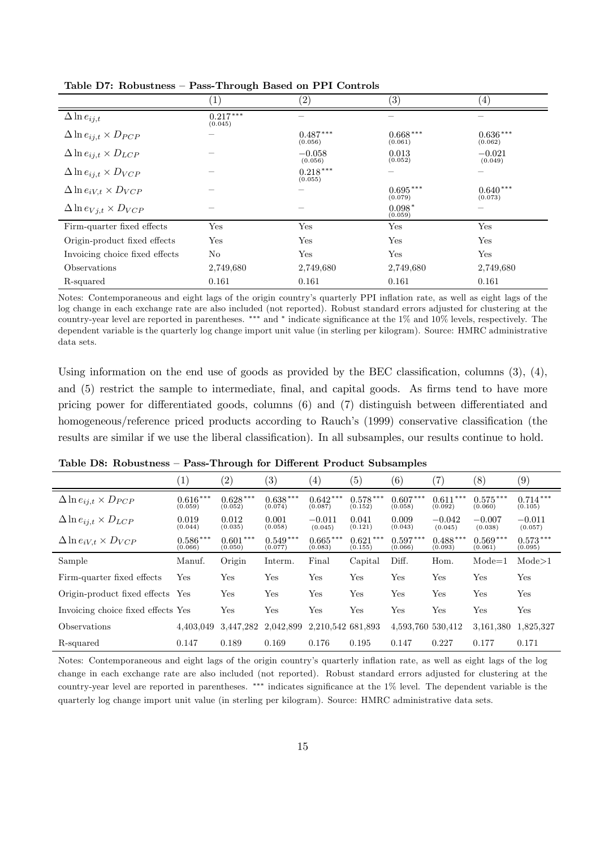|                                      |                       | $\left( 2\right)$     | $\left( 3\right)$     | (4)                   |
|--------------------------------------|-----------------------|-----------------------|-----------------------|-----------------------|
| $\Delta \ln e_{ij,t}$                | $0.217***$<br>(0.045) |                       |                       |                       |
| $\Delta \ln e_{ij,t} \times D_{PCP}$ |                       | $0.487***$<br>(0.056) | $0.668***$<br>(0.061) | $0.636***$<br>(0.062) |
| $\Delta \ln e_{ij,t} \times D_{LCP}$ |                       | $-0.058$<br>(0.056)   | 0.013<br>(0.052)      | $-0.021$<br>(0.049)   |
| $\Delta \ln e_{ij,t} \times D_{VCP}$ |                       | $0.218***$<br>(0.055) |                       |                       |
| $\Delta \ln e_{iV,t} \times D_{VCP}$ |                       |                       | $0.695***$<br>(0.079) | $0.640***$<br>(0.073) |
| $\Delta \ln e_{Vj,t} \times D_{VCP}$ |                       |                       | $0.098*$<br>(0.059)   |                       |
| Firm-quarter fixed effects           | Yes                   | Yes                   | Yes                   | Yes                   |
| Origin-product fixed effects         | Yes                   | Yes                   | Yes                   | Yes                   |
| Invoicing choice fixed effects       | No                    | Yes                   | Yes                   | Yes                   |
| Observations                         | 2,749,680             | 2,749,680             | 2,749,680             | 2,749,680             |
| R-squared                            | 0.161                 | 0.161                 | 0.161                 | 0.161                 |

Table D7: Robustness – Pass-Through Based on PPI Controls

Notes: Contemporaneous and eight lags of the origin country's quarterly PPI inflation rate, as well as eight lags of the log change in each exchange rate are also included (not reported). Robust standard errors adjusted for clustering at the country-year level are reported in parentheses. \*\*\* and \* indicate significance at the 1% and 10% levels, respectively. The dependent variable is the quarterly log change import unit value (in sterling per kilogram). Source: HMRC administrative data sets.

Using information on the end use of goods as provided by the BEC classification, columns  $(3)$ ,  $(4)$ , and (5) restrict the sample to intermediate, final, and capital goods. As firms tend to have more pricing power for differentiated goods, columns (6) and (7) distinguish between differentiated and homogeneous/reference priced products according to Rauch's (1999) conservative classification (the results are similar if we use the liberal classification). In all subsamples, our results continue to hold.

|                                      | $\left( 1\right)$     | $\left( 2\right)$     | $\left( 3\right)$     | $\left( 4\right)$     | $\left( 5\right)$     | (6)                   | $\left( 7\right)$     | $\left(8\right)$      | (9)                   |
|--------------------------------------|-----------------------|-----------------------|-----------------------|-----------------------|-----------------------|-----------------------|-----------------------|-----------------------|-----------------------|
| $\Delta \ln e_{ij,t} \times D_{PCP}$ | $0.616***$<br>(0.059) | $0.628***$<br>(0.052) | $0.638***$<br>(0.074) | $0.642***$<br>(0.087) | $0.578***$<br>(0.152) | $0.607*$<br>(0.058)   | $0.611***$<br>(0.092) | $0.575***$<br>(0.060) | $0.714***$<br>(0.105) |
| $\Delta \ln e_{ij,t} \times D_{LCP}$ | 0.019<br>(0.044)      | 0.012<br>(0.035)      | 0.001<br>(0.058)      | $-0.011$<br>(0.045)   | 0.041<br>(0.121)      | 0.009<br>(0.043)      | $-0.042$<br>(0.045)   | $-0.007$<br>(0.038)   | $-0.011$<br>(0.057)   |
| $\Delta \ln e_{iV,t} \times D_{VCP}$ | $0.586***$<br>(0.066) | $0.601***$<br>(0.050) | $0.549***$<br>(0.077) | $0.665***$<br>(0.083) | $0.621***$<br>(0.155) | $0.597***$<br>(0.066) | $0.488***$<br>(0.093) | $0.569***$<br>(0.061) | $0.573***$<br>(0.095) |
| Sample                               | Manuf.                | Origin                | Interm.               | Final                 | Capital               | Diff.                 | Hom.                  | $Mode=1$              | $\text{Mode} > 1$     |
| Firm-quarter fixed effects           | Yes                   | $_{\rm Yes}$          | Yes                   | Yes                   | Yes                   | Yes                   | Yes                   | Yes                   | Yes                   |
| Origin-product fixed effects Yes     |                       | $_{\rm Yes}$          | Yes                   | Yes                   | Yes                   | Yes                   | Yes                   | $_{\rm Yes}$          | Yes                   |
| Invoicing choice fixed effects Yes   |                       | $_{\rm Yes}$          | Yes                   | Yes                   | Yes                   | Yes                   | Yes                   | Yes                   | Yes                   |
| Observations                         | 4,403,049             | 3,447,282             | 2,042,899             | 2,210,542 681,893     |                       | 4,593,760 530,412     |                       | 3,161,380             | 1,825,327             |
| R-squared                            | 0.147                 | 0.189                 | 0.169                 | 0.176                 | 0.195                 | 0.147                 | 0.227                 | 0.177                 | 0.171                 |

Table D8: Robustness – Pass-Through for Different Product Subsamples

Notes: Contemporaneous and eight lags of the origin country's quarterly in‡ation rate, as well as eight lags of the log change in each exchange rate are also included (not reported). Robust standard errors adjusted for clustering at the country-year level are reported in parentheses. \*\*\* indicates significance at the 1% level. The dependent variable is the quarterly log change import unit value (in sterling per kilogram). Source: HMRC administrative data sets.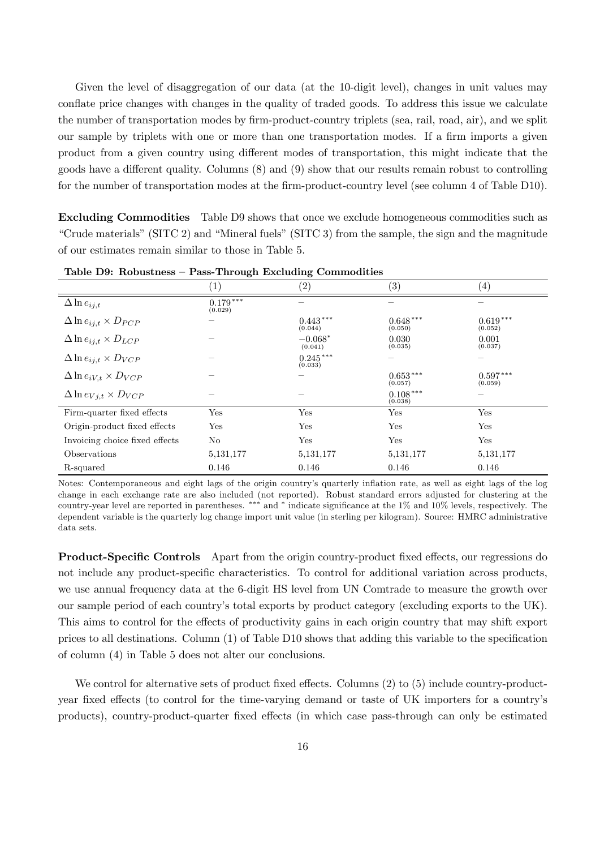Given the level of disaggregation of our data (at the 10-digit level), changes in unit values may conflate price changes with changes in the quality of traded goods. To address this issue we calculate the number of transportation modes by firm-product-country triplets (sea, rail, road, air), and we split our sample by triplets with one or more than one transportation modes. If a firm imports a given product from a given country using different modes of transportation, this might indicate that the goods have a different quality. Columns  $(8)$  and  $(9)$  show that our results remain robust to controlling for the number of transportation modes at the firm-product-country level (see column  $4$  of Table D10).

Excluding Commodities Table D9 shows that once we exclude homogeneous commodities such as "Crude materials" (SITC 2) and "Mineral fuels" (SITC 3) from the sample, the sign and the magnitude of our estimates remain similar to those in Table 5.

|                                      | $1^{\circ}$           | $\left( 2\right)$     | $\left( 3\right)$     | $\left( 4\right)$     |
|--------------------------------------|-----------------------|-----------------------|-----------------------|-----------------------|
| $\Delta \ln e_{ij,t}$                | $0.179***$<br>(0.029) |                       |                       |                       |
| $\Delta \ln e_{ij,t} \times D_{PCP}$ |                       | $0.443***$<br>(0.044) | $0.648***$<br>(0.050) | $0.619***$<br>(0.052) |
| $\Delta \ln e_{ij,t} \times D_{LCP}$ |                       | $-0.068*$<br>(0.041)  | 0.030<br>(0.035)      | 0.001<br>(0.037)      |
| $\Delta \ln e_{ij,t} \times D_{VCP}$ |                       | $0.245***$<br>(0.033) |                       |                       |
| $\Delta \ln e_{iV,t} \times D_{VCP}$ |                       |                       | $0.653***$<br>(0.057) | $0.597***$<br>(0.059) |
| $\Delta \ln e_{Vj,t} \times D_{VCP}$ |                       |                       | $0.108***$<br>(0.038) |                       |
| Firm-quarter fixed effects           | Yes                   | Yes                   | Yes                   | Yes                   |
| Origin-product fixed effects         | Yes                   | Yes                   | Yes                   | Yes                   |
| Invoicing choice fixed effects       | No                    | Yes                   | Yes                   | Yes                   |
| Observations                         | 5, 131, 177           | 5, 131, 177           | 5, 131, 177           | 5, 131, 177           |
| R-squared                            | 0.146                 | 0.146                 | 0.146                 | 0.146                 |

Table D9: Robustness – Pass-Through Excluding Commodities

Notes: Contemporaneous and eight lags of the origin country's quarterly in‡ation rate, as well as eight lags of the log change in each exchange rate are also included (not reported). Robust standard errors adjusted for clustering at the country-year level are reported in parentheses. \*\*\* and \* indicate significance at the 1% and 10% levels, respectively. The dependent variable is the quarterly log change import unit value (in sterling per kilogram). Source: HMRC administrative data sets.

**Product-Specific Controls** Apart from the origin country-product fixed effects, our regressions do not include any product-specific characteristics. To control for additional variation across products, we use annual frequency data at the 6-digit HS level from UN Comtrade to measure the growth over our sample period of each country's total exports by product category (excluding exports to the UK). This aims to control for the effects of productivity gains in each origin country that may shift export prices to all destinations. Column  $(1)$  of Table D10 shows that adding this variable to the specification of column (4) in Table 5 does not alter our conclusions.

We control for alternative sets of product fixed effects. Columns  $(2)$  to  $(5)$  include country-productyear fixed effects (to control for the time-varying demand or taste of UK importers for a country's products), country-product-quarter fixed effects (in which case pass-through can only be estimated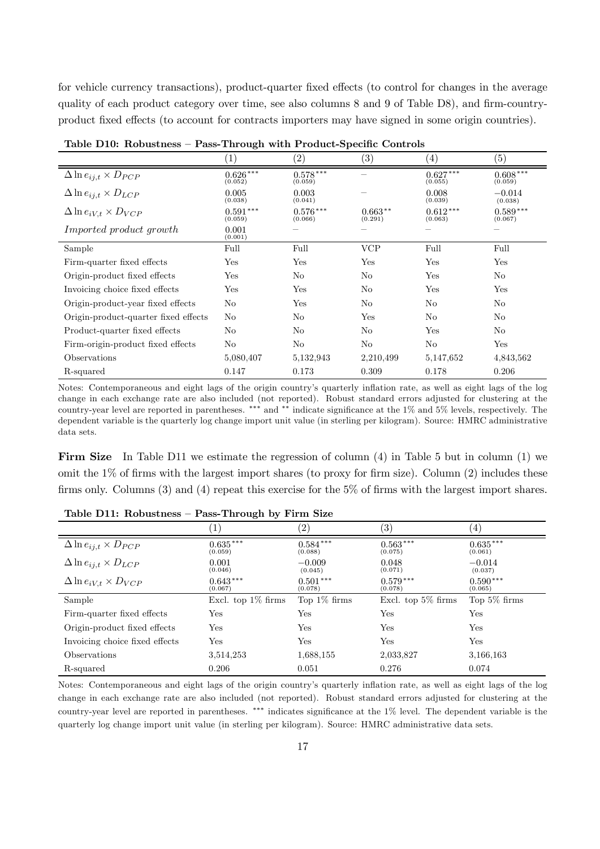for vehicle currency transactions), product-quarter fixed effects (to control for changes in the average quality of each product category over time, see also columns  $8$  and  $9$  of Table D8), and firm-countryproduct fixed effects (to account for contracts importers may have signed in some origin countries).

|                                      | $\left(1\right)$           | $\left( 2\right)$     | $\left( 3\right)$    | $\left(4\right)$      | $\left( 5\right)$     |
|--------------------------------------|----------------------------|-----------------------|----------------------|-----------------------|-----------------------|
| $\Delta \ln e_{ij,t} \times D_{PCP}$ | $0.626***$<br>(0.052)      | $0.578***$<br>(0.059) |                      | $0.627***$<br>(0.055) | $0.608***$<br>(0.059) |
| $\Delta \ln e_{ij,t} \times D_{LCP}$ | 0.005<br>(0.038)           | 0.003<br>(0.041)      |                      | 0.008<br>(0.039)      | $-0.014$<br>(0.038)   |
| $\Delta \ln e_{iV,t} \times D_{VCP}$ | $0.591^{\,***}$<br>(0.059) | $0.576***$<br>(0.066) | $0.663**$<br>(0.291) | $0.612***$<br>(0.063) | $0.589***$<br>(0.067) |
| Imported product growth              | 0.001<br>(0.001)           |                       |                      |                       |                       |
| Sample                               | Full                       | Full                  | <b>VCP</b>           | Full                  | Full                  |
| Firm-quarter fixed effects           | Yes                        | Yes                   | Yes                  | Yes                   | Yes                   |
| Origin-product fixed effects         | Yes                        | No                    | N <sub>o</sub>       | Yes                   | N <sub>o</sub>        |
| Invoicing choice fixed effects       | Yes                        | Yes                   | N <sub>o</sub>       | Yes                   | Yes                   |
| Origin-product-year fixed effects    | No                         | Yes                   | N <sub>o</sub>       | N <sub>o</sub>        | No                    |
| Origin-product-quarter fixed effects | No                         | N <sub>o</sub>        | Yes                  | No                    | No                    |
| Product-quarter fixed effects        | No                         | No                    | N <sub>o</sub>       | Yes                   | No                    |
| Firm-origin-product fixed effects    | No                         | No                    | No                   | No                    | Yes                   |
| Observations                         | 5,080,407                  | 5,132,943             | 2,210,499            | 5,147,652             | 4,843,562             |
| R-squared                            | 0.147                      | 0.173                 | 0.309                | 0.178                 | 0.206                 |

Table D10: Robustness – Pass-Through with Product-Specific Controls

Notes: Contemporaneous and eight lags of the origin country's quarterly in‡ation rate, as well as eight lags of the log change in each exchange rate are also included (not reported). Robust standard errors adjusted for clustering at the country-year level are reported in parentheses. \*\*\* and \*\* indicate significance at the  $1\%$  and  $5\%$  levels, respectively. The dependent variable is the quarterly log change import unit value (in sterling per kilogram). Source: HMRC administrative data sets.

Firm Size In Table D11 we estimate the regression of column (4) in Table 5 but in column (1) we omit the  $1\%$  of firms with the largest import shares (to proxy for firm size). Column (2) includes these firms only. Columns  $(3)$  and  $(4)$  repeat this exercise for the 5% of firms with the largest import shares.

|                                      | $\perp$               | $^{\prime}2)$         | $\left( 3\right)$     | (4)                   |
|--------------------------------------|-----------------------|-----------------------|-----------------------|-----------------------|
| $\Delta \ln e_{ij,t} \times D_{PCP}$ | $0.635***$<br>(0.059) | $0.584***$<br>(0.088) | $0.563***$<br>(0.075) | $0.635***$<br>(0.061) |
| $\Delta \ln e_{ij,t} \times D_{LCP}$ | 0.001<br>(0.046)      | $-0.009$<br>(0.045)   | 0.048<br>(0.071)      | $-0.014$<br>(0.037)   |
| $\Delta \ln e_{iV,t} \times D_{VCP}$ | $0.643***$<br>(0.067) | $0.501***$<br>(0.078) | $0.579***$<br>(0.078) | $0.590***$<br>(0.065) |
| Sample                               | Excl. top $1\%$ firms | Top $1\%$ firms       | Excl. top $5\%$ firms | Top $5\%$ firms       |
| Firm-quarter fixed effects           | Yes                   | Yes                   | Yes                   | Yes                   |
| Origin-product fixed effects         | Yes                   | Yes                   | Yes                   | Yes                   |
| Invoicing choice fixed effects       | Yes                   | Yes                   | Yes                   | Yes                   |
| Observations                         | 3,514,253             | 1,688,155             | 2,033,827             | 3,166,163             |
| R-squared                            | 0.206                 | 0.051                 | 0.276                 | 0.074                 |

Table D11: Robustness – Pass-Through by Firm Size

Notes: Contemporaneous and eight lags of the origin country's quarterly in‡ation rate, as well as eight lags of the log change in each exchange rate are also included (not reported). Robust standard errors adjusted for clustering at the country-year level are reported in parentheses. \*\*\* indicates significance at the  $1\%$  level. The dependent variable is the quarterly log change import unit value (in sterling per kilogram). Source: HMRC administrative data sets.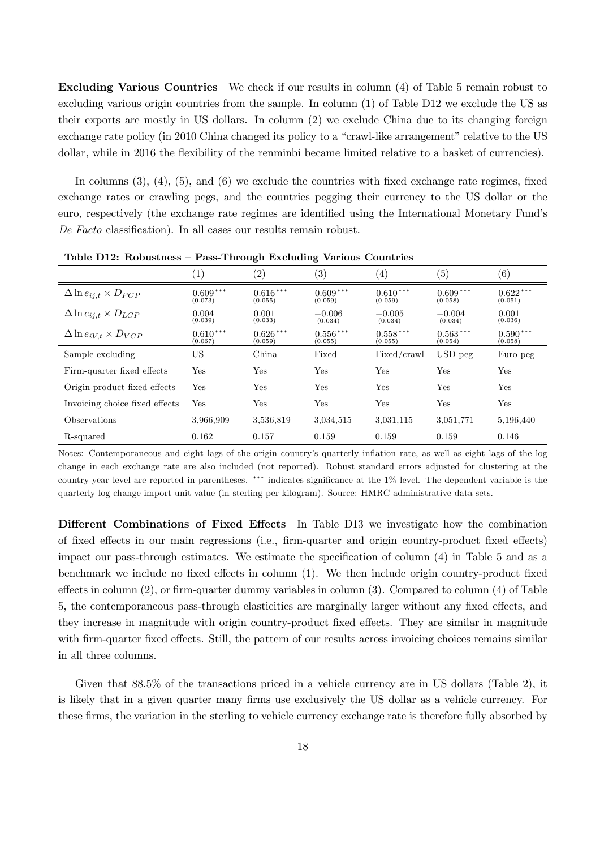Excluding Various Countries We check if our results in column (4) of Table 5 remain robust to excluding various origin countries from the sample. In column (1) of Table D12 we exclude the US as their exports are mostly in US dollars. In column (2) we exclude China due to its changing foreign exchange rate policy (in 2010 China changed its policy to a "crawl-like arrangement" relative to the US dollar, while in 2016 the flexibility of the renminbi became limited relative to a basket of currencies).

In columns  $(3)$ ,  $(4)$ ,  $(5)$ , and  $(6)$  we exclude the countries with fixed exchange rate regimes, fixed exchange rates or crawling pegs, and the countries pegging their currency to the US dollar or the euro, respectively (the exchange rate regimes are identified using the International Monetary Fund's De Facto classification). In all cases our results remain robust.

|                                      | $\left[1\right]$      | (2)                   | $\left( 3\right)$     | $\left( 4\right)$     | (5)                   | $\left( 6\right)$     |
|--------------------------------------|-----------------------|-----------------------|-----------------------|-----------------------|-----------------------|-----------------------|
| $\Delta \ln e_{ij,t} \times D_{PCP}$ | $0.609***$<br>(0.073) | $0.616***$<br>(0.055) | $0.609***$<br>(0.059) | $0.610***$<br>(0.059) | $0.609***$<br>(0.058) | $0.622***$<br>(0.051) |
| $\Delta \ln e_{ij,t} \times D_{LCP}$ | 0.004<br>(0.039)      | 0.001<br>(0.033)      | $-0.006$<br>(0.034)   | $-0.005$<br>(0.034)   | $-0.004$<br>(0.034)   | 0.001<br>(0.036)      |
| $\Delta \ln e_{iV,t} \times D_{VCP}$ | $0.610***$<br>(0.067) | $0.626***$<br>(0.059) | $0.556***$<br>(0.055) | $0.558***$<br>(0.055) | $0.563***$<br>(0.054) | $0.590***$<br>(0.058) |
| Sample excluding                     | US                    | China                 | Fixed                 | Fixed/crawl           | USD peg               | Euro peg              |
| Firm-quarter fixed effects           | Yes                   | Yes                   | Yes                   | Yes                   | Yes                   | Yes                   |
| Origin-product fixed effects         | Yes                   | Yes                   | Yes                   | Yes                   | Yes                   | Yes                   |
| Invoicing choice fixed effects       | Yes                   | Yes                   | Yes                   | Yes                   | Yes                   | Yes                   |
| Observations                         | 3,966,909             | 3,536,819             | 3,034,515             | 3,031,115             | 3,051,771             | 5,196,440             |
| R-squared                            | 0.162                 | 0.157                 | 0.159                 | 0.159                 | 0.159                 | 0.146                 |

Table D12: Robustness – Pass-Through Excluding Various Countries

Notes: Contemporaneous and eight lags of the origin country's quarterly in‡ation rate, as well as eight lags of the log change in each exchange rate are also included (not reported). Robust standard errors adjusted for clustering at the country-year level are reported in parentheses. \*\*\* indicates significance at the  $1\%$  level. The dependent variable is the quarterly log change import unit value (in sterling per kilogram). Source: HMRC administrative data sets.

Different Combinations of Fixed Effects In Table D13 we investigate how the combination of fixed effects in our main regressions (i.e., firm-quarter and origin country-product fixed effects) impact our pass-through estimates. We estimate the specification of column  $(4)$  in Table 5 and as a benchmark we include no fixed effects in column  $(1)$ . We then include origin country-product fixed effects in column  $(2)$ , or firm-quarter dummy variables in column  $(3)$ . Compared to column  $(4)$  of Table 5, the contemporaneous pass-through elasticities are marginally larger without any fixed effects, and they increase in magnitude with origin country-product fixed effects. They are similar in magnitude with firm-quarter fixed effects. Still, the pattern of our results across invoicing choices remains similar in all three columns.

Given that  $88.5\%$  of the transactions priced in a vehicle currency are in US dollars (Table 2), it is likely that in a given quarter many firms use exclusively the US dollar as a vehicle currency. For these firms, the variation in the sterling to vehicle currency exchange rate is therefore fully absorbed by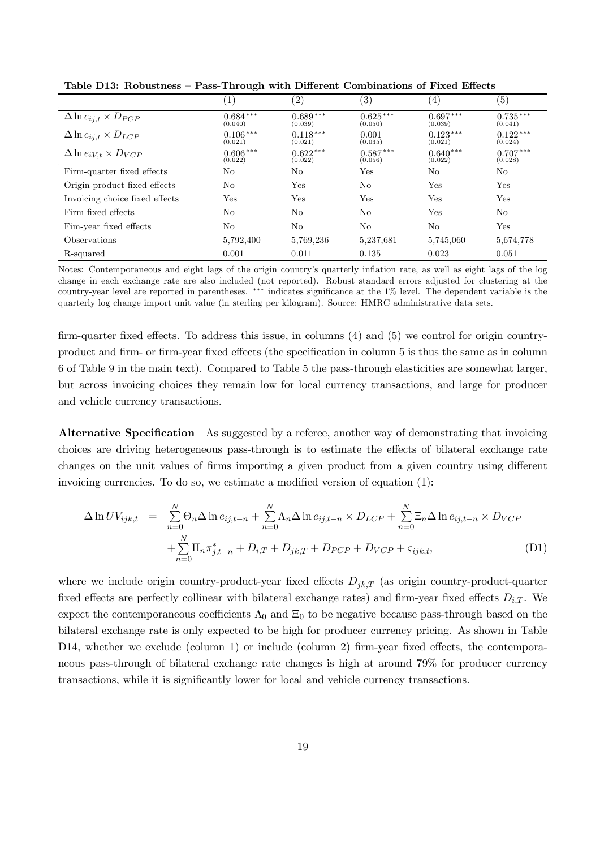|                                      | $\tilde{}$            |                       |                       |                       |                       |
|--------------------------------------|-----------------------|-----------------------|-----------------------|-----------------------|-----------------------|
|                                      | $1^{\circ}$           | $\left( 2\right)$     | $\left( 3\right)$     | $\left(4\right)$      | $\left( 5\right)$     |
| $\Delta \ln e_{ij,t} \times D_{PCP}$ | $0.684***$<br>(0.040) | $0.689***$<br>(0.039) | $0.625***$<br>(0.050) | $0.697***$<br>(0.039) | $0.735***$<br>(0.041) |
| $\Delta \ln e_{ij,t} \times D_{LCP}$ | $0.106***$<br>(0.021) | $0.118***$<br>(0.021) | 0.001<br>(0.035)      | $0.123***$<br>(0.021) | $0.122***$<br>(0.024) |
| $\Delta \ln e_{iV,t} \times D_{VCP}$ | $0.606***$<br>(0.022) | $0.622***$<br>(0.022) | $0.587***$<br>(0.056) | $0.640***$<br>(0.022) | $0.707***$<br>(0.028) |
| Firm-quarter fixed effects           | N <sub>o</sub>        | N <sub>o</sub>        | Yes                   | N <sub>o</sub>        | No                    |
| Origin-product fixed effects         | No.                   | Yes                   | No                    | Yes                   | Yes                   |
| Invoicing choice fixed effects       | Yes                   | Yes                   | Yes                   | Yes                   | Yes                   |
| Firm fixed effects                   | N <sub>o</sub>        | N <sub>o</sub>        | No                    | Yes                   | No                    |
| Fim-year fixed effects               | N <sub>o</sub>        | No                    | No                    | N <sub>o</sub>        | Yes                   |
| Observations                         | 5,792,400             | 5,769,236             | 5,237,681             | 5,745,060             | 5,674,778             |
| R-squared                            | 0.001                 | 0.011                 | 0.135                 | 0.023                 | 0.051                 |

Table D13: Robustness – Pass-Through with Different Combinations of Fixed Effects

Notes: Contemporaneous and eight lags of the origin country's quarterly in‡ation rate, as well as eight lags of the log change in each exchange rate are also included (not reported). Robust standard errors adjusted for clustering at the country-year level are reported in parentheses. \*\*\* indicates significance at the 1% level. The dependent variable is the quarterly log change import unit value (in sterling per kilogram). Source: HMRC administrative data sets.

firm-quarter fixed effects. To address this issue, in columns  $(4)$  and  $(5)$  we control for origin countryproduct and firm- or firm-year fixed effects (the specification in column 5 is thus the same as in column 6 of Table 9 in the main text). Compared to Table 5 the pass-through elasticities are somewhat larger, but across invoicing choices they remain low for local currency transactions, and large for producer and vehicle currency transactions.

Alternative Specification As suggested by a referee, another way of demonstrating that invoicing choices are driving heterogeneous pass-through is to estimate the effects of bilateral exchange rate changes on the unit values of firms importing a given product from a given country using different invoicing currencies. To do so, we estimate a modified version of equation  $(1)$ :

$$
\Delta \ln UV_{ijk,t} = \sum_{n=0}^{N} \Theta_n \Delta \ln e_{ij,t-n} + \sum_{n=0}^{N} \Lambda_n \Delta \ln e_{ij,t-n} \times D_{LCP} + \sum_{n=0}^{N} \Xi_n \Delta \ln e_{ij,t-n} \times D_{VCP}
$$
  
+ 
$$
\sum_{n=0}^{N} \Pi_n \pi_{j,t-n}^* + D_{i,T} + D_{jk,T} + D_{PCP} + D_{VCP} + \varsigma_{ijk,t},
$$
 (D1)

where we include origin country-product-year fixed effects  $D_{jk,T}$  (as origin country-product-quarter fixed effects are perfectly collinear with bilateral exchange rates) and firm-year fixed effects  $D_{i,T}$ . We expect the contemporaneous coefficients  $\Lambda_0$  and  $\Xi_0$  to be negative because pass-through based on the bilateral exchange rate is only expected to be high for producer currency pricing. As shown in Table D14, whether we exclude (column 1) or include (column 2) firm-year fixed effects, the contemporaneous pass-through of bilateral exchange rate changes is high at around 79% for producer currency transactions, while it is significantly lower for local and vehicle currency transactions.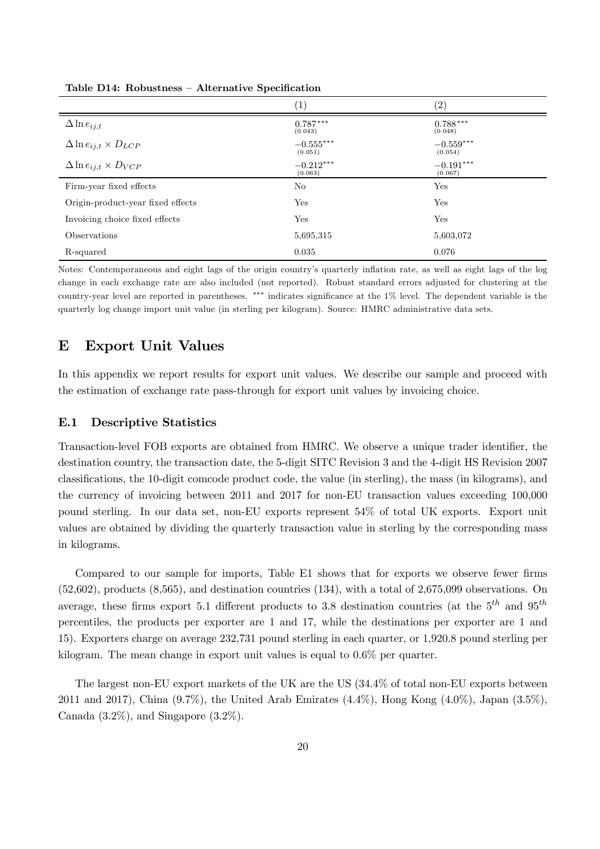|                                      | $\left( 1\right)$      | (2)                    |
|--------------------------------------|------------------------|------------------------|
| $\Delta \ln e_{ij,t}$                | $0.787***$<br>(0.043)  | $0.788***$<br>(0.048)  |
| $\Delta \ln e_{ij,t} \times D_{LCP}$ | $-0.555***$<br>(0.051) | $-0.559***$<br>(0.054) |
| $\Delta \ln e_{ij,t} \times D_{VCP}$ | $-0.212***$<br>(0.063) | $-0.191***$<br>(0.067) |
| Firm-year fixed effects              | No                     | Yes                    |
| Origin-product-year fixed effects    | Yes                    | Yes                    |
| Invoicing choice fixed effects       | Yes                    | Yes                    |
| Observations                         | 5,695,315              | 5,603,072              |
| R-squared                            | 0.035                  | 0.076                  |

Table D14: Robustness – Alternative Specification

Notes: Contemporaneous and eight lags of the origin country's quarterly in‡ation rate, as well as eight lags of the log change in each exchange rate are also included (not reported). Robust standard errors adjusted for clustering at the country-year level are reported in parentheses.  $***$  indicates significance at the  $1\%$  level. The dependent variable is the quarterly log change import unit value (in sterling per kilogram). Source: HMRC administrative data sets.

## E Export Unit Values

In this appendix we report results for export unit values. We describe our sample and proceed with the estimation of exchange rate pass-through for export unit values by invoicing choice.

#### E.1 Descriptive Statistics

Transaction-level FOB exports are obtained from HMRC. We observe a unique trader identifier, the destination country, the transaction date, the 5-digit SITC Revision 3 and the 4-digit HS Revision 2007 classifications, the 10-digit comcode product code, the value (in sterling), the mass (in kilograms), and the currency of invoicing between 2011 and 2017 for non-EU transaction values exceeding 100,000 pound sterling. In our data set, non-EU exports represent 54% of total UK exports. Export unit values are obtained by dividing the quarterly transaction value in sterling by the corresponding mass in kilograms.

Compared to our sample for imports, Table E1 shows that for exports we observe fewer firms (52,602), products (8,565), and destination countries (134), with a total of 2,675,099 observations. On average, these firms export 5.1 different products to 3.8 destination countries (at the  $5<sup>th</sup>$  and  $95<sup>th</sup>$ percentiles, the products per exporter are 1 and 17, while the destinations per exporter are 1 and 15). Exporters charge on average 232,731 pound sterling in each quarter, or 1,920.8 pound sterling per kilogram. The mean change in export unit values is equal to 0.6% per quarter.

The largest non-EU export markets of the UK are the US (34.4% of total non-EU exports between 2011 and 2017), China (9.7%), the United Arab Emirates (4.4%), Hong Kong (4.0%), Japan (3.5%), Canada  $(3.2\%)$ , and Singapore  $(3.2\%)$ .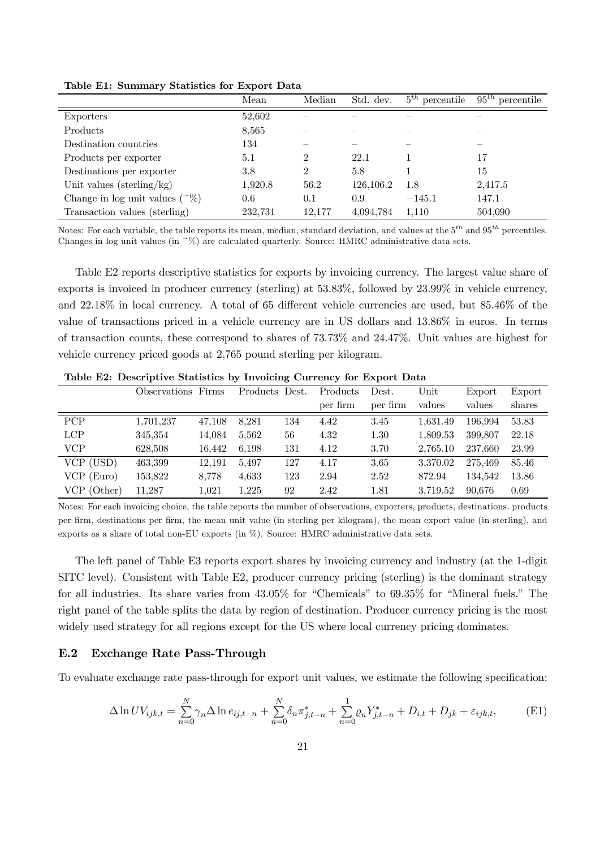|                                       | Mean    | Median         | Std. dev. | $5th$ percentile | $95^{th}$<br>percentile |
|---------------------------------------|---------|----------------|-----------|------------------|-------------------------|
| Exporters                             | 52,602  |                |           |                  |                         |
| Products                              | 8,565   |                |           |                  |                         |
| Destination countries                 | 134     |                |           |                  |                         |
| Products per exporter                 | 5.1     | 2              | 22.1      |                  | 17                      |
| Destinations per exporter             | 3.8     | $\overline{2}$ | 5.8       |                  | 15                      |
| Unit values (sterling/kg)             | 1,920.8 | 56.2           | 126.106.2 | 1.8              | 2,417.5                 |
| Change in log unit values $(^\sim\%)$ | 0.6     | 0.1            | 0.9       | $-145.1$         | 147.1                   |
| Transaction values (sterling)         | 232,731 | 12,177         | 4,094,784 | 1,110            | 504,090                 |

Table E1: Summary Statistics for Export Data

Notes: For each variable, the table reports its mean, median, standard deviation, and values at the  $5^{th}$  and  $95^{th}$  percentiles. Changes in log unit values (in  $\frac{8}{0}$ ) are calculated quarterly. Source: HMRC administrative data sets.

Table E2 reports descriptive statistics for exports by invoicing currency. The largest value share of exports is invoiced in producer currency (sterling) at 53.83%, followed by 23.99% in vehicle currency, and  $22.18\%$  in local currency. A total of 65 different vehicle currencies are used, but  $85.46\%$  of the value of transactions priced in a vehicle currency are in US dollars and 13.86% in euros. In terms of transaction counts, these correspond to shares of 73.73% and 24.47%. Unit values are highest for vehicle currency priced goods at 2,765 pound sterling per kilogram.

|              | Observations Firms |        | Products Dest. |     | Products | Dest.    | Unit     | Export  | Export |
|--------------|--------------------|--------|----------------|-----|----------|----------|----------|---------|--------|
|              |                    |        |                |     | per firm | per firm | values   | values  | shares |
| <b>PCP</b>   | 1,701,237          | 47,108 | 8,281          | 134 | 4.42     | 3.45     | 1.631.49 | 196.994 | 53.83  |
| <b>LCP</b>   | 345,354            | 14,084 | 5,562          | 56  | 4.32     | 1.30     | 1,809.53 | 399.807 | 22.18  |
| <b>VCP</b>   | 628,508            | 16,442 | 6.198          | 131 | 4.12     | 3.70     | 2.765.10 | 237.660 | 23.99  |
| VCP (USD)    | 463,399            | 12,191 | 5.497          | 127 | 4.17     | 3.65     | 3.370.02 | 275.469 | 85.46  |
| $VCP$ (Euro) | 153,822            | 8,778  | 4,633          | 123 | 2.94     | 2.52     | 872.94   | 134.542 | 13.86  |
| VCP (Other)  | 11,287             | 1,021  | 1,225          | 92  | 2.42     | 1.81     | 3,719.52 | 90.676  | 0.69   |

Table E2: Descriptive Statistics by Invoicing Currency for Export Data

Notes: For each invoicing choice, the table reports the number of observations, exporters, products, destinations, products per firm, destinations per firm, the mean unit value (in sterling per kilogram), the mean export value (in sterling), and exports as a share of total non-EU exports (in %). Source: HMRC administrative data sets.

The left panel of Table E3 reports export shares by invoicing currency and industry (at the 1-digit SITC level). Consistent with Table E2, producer currency pricing (sterling) is the dominant strategy for all industries. Its share varies from 43.05% for "Chemicals" to 69.35% for "Mineral fuels." The right panel of the table splits the data by region of destination. Producer currency pricing is the most widely used strategy for all regions except for the US where local currency pricing dominates.

#### E.2 Exchange Rate Pass-Through

To evaluate exchange rate pass-through for export unit values, we estimate the following specification:

$$
\Delta \ln UV_{ijk,t} = \sum_{n=0}^{N} \gamma_n \Delta \ln e_{ij,t-n} + \sum_{n=0}^{N} \delta_n \pi_{j,t-n}^* + \sum_{n=0}^{1} \varrho_n Y_{j,t-n}^* + D_{i,t} + D_{jk} + \varepsilon_{ijk,t},
$$
(E1)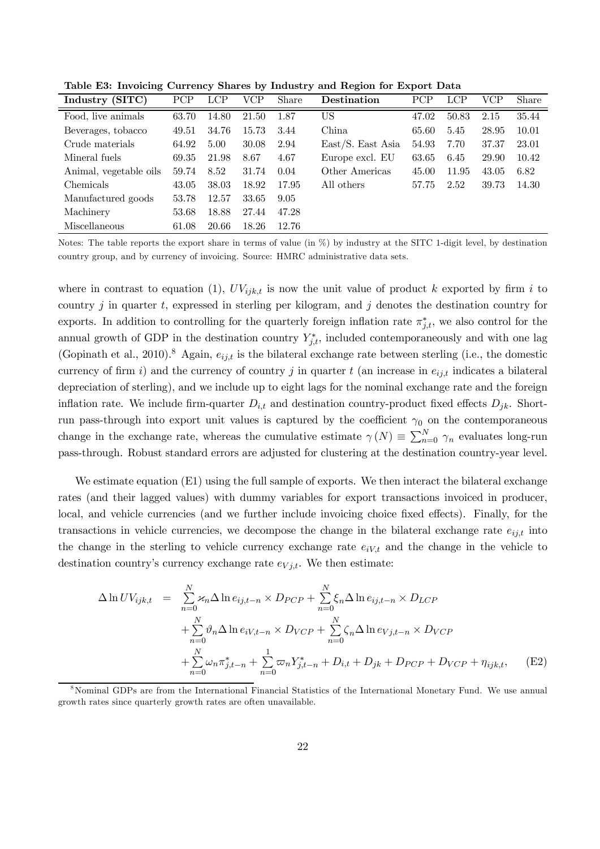Table E3: Invoicing Currency Shares by Industry and Region for Export Data

| Industry (SITC)        | PCP   | <b>LCP</b> | VCP   | <b>Share</b> | Destination       | PCP   | LCP   | VCP   | Share |
|------------------------|-------|------------|-------|--------------|-------------------|-------|-------|-------|-------|
| Food, live animals     | 63.70 | 14.80      | 21.50 | 1.87         | US                | 47.02 | 50.83 | 2.15  | 35.44 |
| Beverages, tobacco     | 49.51 | 34.76      | 15.73 | 3.44         | China             | 65.60 | 5.45  | 28.95 | 10.01 |
| Crude materials        | 64.92 | 5.00       | 30.08 | 2.94         | East/S. East Asia | 54.93 | 7.70  | 37.37 | 23.01 |
| Mineral fuels          | 69.35 | 21.98      | 8.67  | 4.67         | Europe excl. EU   | 63.65 | 6.45  | 29.90 | 10.42 |
| Animal, vegetable oils | 59.74 | 8.52       | 31.74 | 0.04         | Other Americas    | 45.00 | 11.95 | 43.05 | 6.82  |
| Chemicals              | 43.05 | 38.03      | 18.92 | 17.95        | All others        | 57.75 | 2.52  | 39.73 | 14.30 |
| Manufactured goods     | 53.78 | 12.57      | 33.65 | 9.05         |                   |       |       |       |       |
| Machinery              | 53.68 | 18.88      | 27.44 | 47.28        |                   |       |       |       |       |
| Miscellaneous          | 61.08 | 20.66      | 18.26 | 12.76        |                   |       |       |       |       |

Notes: The table reports the export share in terms of value (in %) by industry at the SITC 1-digit level, by destination country group, and by currency of invoicing. Source: HMRC administrative data sets.

where in contrast to equation (1),  $UV_{ijk,t}$  is now the unit value of product k exported by firm i to country  $j$  in quarter  $t$ , expressed in sterling per kilogram, and  $j$  denotes the destination country for exports. In addition to controlling for the quarterly foreign inflation rate  $\pi^*_{j,t}$ , we also control for the annual growth of GDP in the destination country  $Y_{j,t}^*$ , included contemporaneously and with one lag (Gopinath et al., 2010).<sup>8</sup> Again,  $e_{ij,t}$  is the bilateral exchange rate between sterling (i.e., the domestic currency of firm i) and the currency of country j in quarter t (an increase in  $e_{ij,t}$  indicates a bilateral depreciation of sterling), and we include up to eight lags for the nominal exchange rate and the foreign inflation rate. We include firm-quarter  $D_{i,t}$  and destination country-product fixed effects  $D_{jk}$ . Shortrun pass-through into export unit values is captured by the coefficient  $\gamma_0$  on the contemporaneous change in the exchange rate, whereas the cumulative estimate  $\gamma(N) \equiv \sum_{n=0}^{N} \gamma_n$  evaluates long-run pass-through. Robust standard errors are adjusted for clustering at the destination country-year level.

We estimate equation (E1) using the full sample of exports. We then interact the bilateral exchange rates (and their lagged values) with dummy variables for export transactions invoiced in producer, local, and vehicle currencies (and we further include invoicing choice fixed effects). Finally, for the transactions in vehicle currencies, we decompose the change in the bilateral exchange rate  $e_{ij,t}$  into the change in the sterling to vehicle currency exchange rate  $e_{iV,t}$  and the change in the vehicle to destination country's currency exchange rate  $e_{Vj,t}$ . We then estimate:

$$
\Delta \ln UV_{ijk,t} = \sum_{n=0}^{N} \varkappa_n \Delta \ln e_{ij,t-n} \times D_{PCP} + \sum_{n=0}^{N} \xi_n \Delta \ln e_{ij,t-n} \times D_{LCP} \n+ \sum_{n=0}^{N} \vartheta_n \Delta \ln e_{iV,t-n} \times D_{VCP} + \sum_{n=0}^{N} \zeta_n \Delta \ln e_{Vj,t-n} \times D_{VCP} \n+ \sum_{n=0}^{N} \omega_n \pi_{j,t-n}^* + \sum_{n=0}^{1} \omega_n Y_{j,t-n}^* + D_{i,t} + D_{jk} + D_{PCP} + D_{VCP} + \eta_{ijk,t}, \quad (E2)
$$

<sup>8</sup>Nominal GDPs are from the International Financial Statistics of the International Monetary Fund. We use annual growth rates since quarterly growth rates are often unavailable.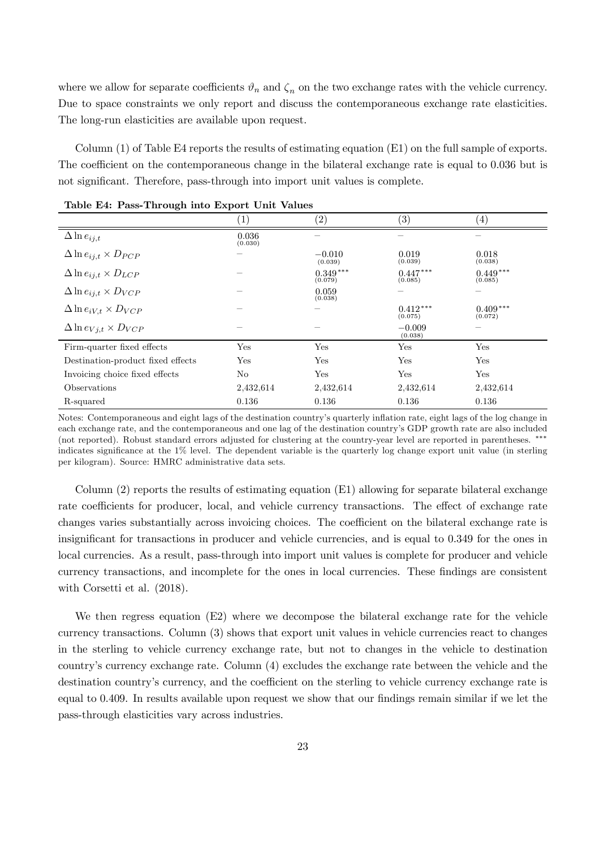where we allow for separate coefficients  $\vartheta_n$  and  $\zeta_n$  on the two exchange rates with the vehicle currency. Due to space constraints we only report and discuss the contemporaneous exchange rate elasticities. The long-run elasticities are available upon request.

Column (1) of Table E4 reports the results of estimating equation (E1) on the full sample of exports. The coefficient on the contemporaneous change in the bilateral exchange rate is equal to 0.036 but is not significant. Therefore, pass-through into import unit values is complete.

|                                      | $\left 1\right\rangle$ | $\left( 2\right)$     | $\left( 3\right)$     | (4)                   |
|--------------------------------------|------------------------|-----------------------|-----------------------|-----------------------|
| $\Delta \ln e_{ij,t}$                | 0.036<br>(0.030)       |                       |                       |                       |
| $\Delta \ln e_{ij,t} \times D_{PCP}$ |                        | $-0.010$<br>(0.039)   | 0.019<br>(0.039)      | 0.018<br>(0.038)      |
| $\Delta \ln e_{ij,t} \times D_{LCP}$ |                        | $0.349***$<br>(0.079) | $0.447***$<br>(0.085) | $0.449***$<br>(0.085) |
| $\Delta \ln e_{ij,t} \times D_{VCP}$ |                        | 0.059<br>(0.038)      |                       |                       |
| $\Delta \ln e_{iV,t} \times D_{VCP}$ |                        |                       | $0.412***$<br>(0.075) | $0.409***$<br>(0.072) |
| $\Delta \ln e_{Vj,t} \times D_{VCP}$ |                        |                       | $-0.009$<br>(0.038)   |                       |
| Firm-quarter fixed effects           | Yes                    | Yes                   | Yes                   | Yes                   |
| Destination-product fixed effects    | Yes                    | Yes                   | Yes                   | Yes                   |
| Invoicing choice fixed effects       | No                     | Yes                   | Yes                   | Yes                   |
| Observations                         | 2,432,614              | 2,432,614             | 2,432,614             | 2,432,614             |
| R-squared                            | 0.136                  | 0.136                 | 0.136                 | 0.136                 |

Table E4: Pass-Through into Export Unit Values

Notes: Contemporaneous and eight lags of the destination country's quarterly in‡ation rate, eight lags of the log change in each exchange rate, and the contemporaneous and one lag of the destination country's GDP growth rate are also included (not reported). Robust standard errors adjusted for clustering at the country-year level are reported in parentheses. \*\*\* indicates significance at the  $1\%$  level. The dependent variable is the quarterly log change export unit value (in sterling per kilogram). Source: HMRC administrative data sets.

Column (2) reports the results of estimating equation (E1) allowing for separate bilateral exchange rate coefficients for producer, local, and vehicle currency transactions. The effect of exchange rate changes varies substantially across invoicing choices. The coefficient on the bilateral exchange rate is insignificant for transactions in producer and vehicle currencies, and is equal to 0.349 for the ones in local currencies. As a result, pass-through into import unit values is complete for producer and vehicle currency transactions, and incomplete for the ones in local currencies. These findings are consistent with Corsetti et al.  $(2018)$ .

We then regress equation (E2) where we decompose the bilateral exchange rate for the vehicle currency transactions. Column (3) shows that export unit values in vehicle currencies react to changes in the sterling to vehicle currency exchange rate, but not to changes in the vehicle to destination country's currency exchange rate. Column (4) excludes the exchange rate between the vehicle and the destination country's currency, and the coefficient on the sterling to vehicle currency exchange rate is equal to 0.409. In results available upon request we show that our findings remain similar if we let the pass-through elasticities vary across industries.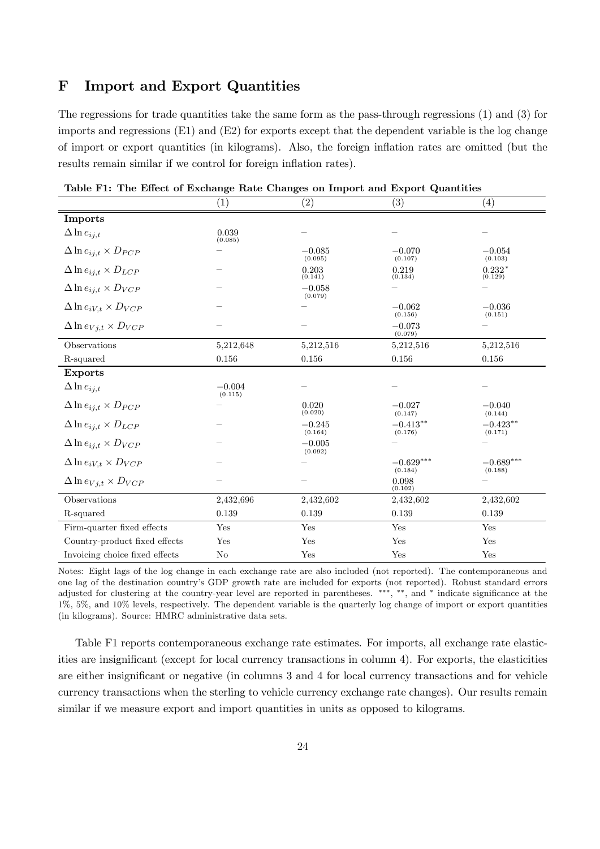# F Import and Export Quantities

The regressions for trade quantities take the same form as the pass-through regressions (1) and (3) for imports and regressions  $(E1)$  and  $(E2)$  for exports except that the dependent variable is the log change of import or export quantities (in kilograms). Also, the foreign in‡ation rates are omitted (but the results remain similar if we control for foreign inflation rates).

|                                      | $\tilde{\phantom{a}}$<br>(1) | $\left( 2\right)$   | (3)                    | $\left(4\right)$       |
|--------------------------------------|------------------------------|---------------------|------------------------|------------------------|
| <b>Imports</b>                       |                              |                     |                        |                        |
| $\Delta \ln e_{ij,t}$                | 0.039<br>(0.085)             |                     |                        |                        |
| $\Delta \ln e_{ij,t} \times D_{PCP}$ |                              | $-0.085$<br>(0.095) | $-0.070$<br>(0.107)    | $-0.054$<br>(0.103)    |
| $\Delta \ln e_{ij,t} \times D_{LCP}$ |                              | 0.203<br>(0.141)    | 0.219<br>(0.134)       | $0.232*$<br>(0.129)    |
| $\Delta \ln e_{ij,t} \times D_{VCP}$ |                              | $-0.058$<br>(0.079) |                        |                        |
| $\Delta \ln e_{iV,t} \times D_{VCP}$ |                              |                     | $-0.062$<br>(0.156)    | $-0.036$<br>(0.151)    |
| $\Delta \ln e_{Vj,t} \times D_{VCP}$ |                              |                     | $-0.073$<br>(0.079)    |                        |
| Observations                         | 5,212,648                    | 5,212,516           | 5,212,516              | 5,212,516              |
| R-squared                            | 0.156                        | 0.156               | 0.156                  | 0.156                  |
| <b>Exports</b>                       |                              |                     |                        |                        |
| $\Delta \ln e_{ij,t}$                | $-0.004$<br>(0.115)          |                     |                        |                        |
| $\Delta \ln e_{ij,t} \times D_{PCP}$ |                              | 0.020<br>(0.020)    | $-0.027$<br>(0.147)    | $-0.040$<br>(0.144)    |
| $\Delta \ln e_{ij,t} \times D_{LCP}$ |                              | $-0.245$<br>(0.164) | $-0.413**$<br>(0.176)  | $-0.423**$<br>(0.171)  |
| $\Delta \ln e_{ij,t} \times D_{VCP}$ |                              | $-0.005$<br>(0.092) |                        |                        |
| $\Delta \ln e_{iV,t} \times D_{VCP}$ |                              |                     | $-0.629***$<br>(0.184) | $-0.689***$<br>(0.188) |
| $\Delta \ln e_{Vj,t} \times D_{VCP}$ |                              |                     | 0.098<br>(0.102)       |                        |
| Observations                         | 2,432,696                    | 2,432,602           | 2,432,602              | 2,432,602              |
| R-squared                            | 0.139                        | 0.139               | 0.139                  | 0.139                  |
| Firm-quarter fixed effects           | Yes                          | Yes                 | Yes                    | Yes                    |
| Country-product fixed effects        | Yes                          | Yes                 | Yes                    | Yes                    |
| Invoicing choice fixed effects       | N <sub>o</sub>               | Yes                 | Yes                    | Yes                    |

Table F1: The Effect of Exchange Rate Changes on Import and Export Quantities

Notes: Eight lags of the log change in each exchange rate are also included (not reported). The contemporaneous and one lag of the destination country's GDP growth rate are included for exports (not reported). Robust standard errors adjusted for clustering at the country-year level are reported in parentheses. \*\*\*, \*\*, and \* indicate significance at the 1%, 5%, and 10% levels, respectively. The dependent variable is the quarterly log change of import or export quantities (in kilograms). Source: HMRC administrative data sets.

Table F1 reports contemporaneous exchange rate estimates. For imports, all exchange rate elasticities are insignificant (except for local currency transactions in column 4). For exports, the elasticities are either insignificant or negative (in columns 3 and 4 for local currency transactions and for vehicle currency transactions when the sterling to vehicle currency exchange rate changes). Our results remain similar if we measure export and import quantities in units as opposed to kilograms.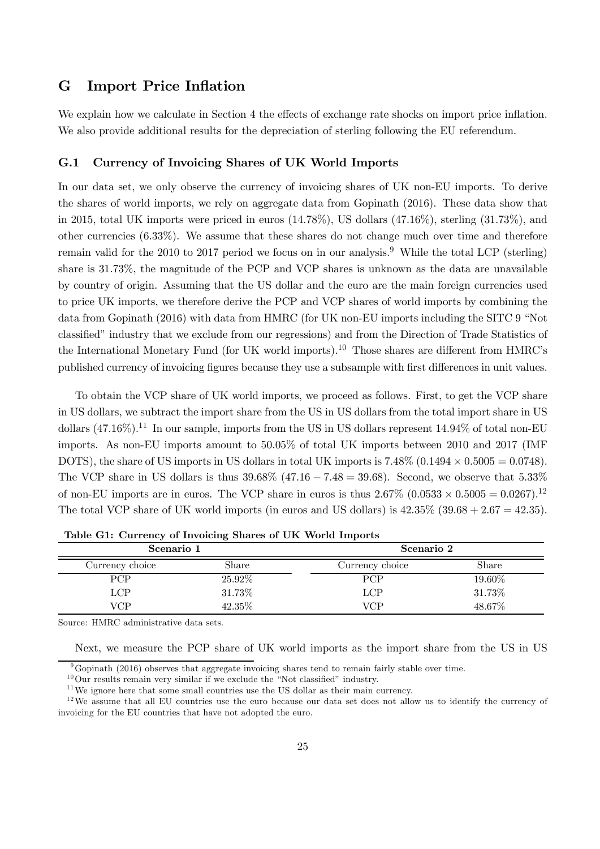# G Import Price Inflation

We explain how we calculate in Section 4 the effects of exchange rate shocks on import price inflation. We also provide additional results for the depreciation of sterling following the EU referendum.

#### G.1 Currency of Invoicing Shares of UK World Imports

In our data set, we only observe the currency of invoicing shares of UK non-EU imports. To derive the shares of world imports, we rely on aggregate data from Gopinath (2016). These data show that in 2015, total UK imports were priced in euros  $(14.78\%)$ , US dollars  $(47.16\%)$ , sterling  $(31.73\%)$ , and other currencies (6.33%). We assume that these shares do not change much over time and therefore remain valid for the 2010 to 2017 period we focus on in our analysis.<sup>9</sup> While the total LCP (sterling) share is 31.73%, the magnitude of the PCP and VCP shares is unknown as the data are unavailable by country of origin. Assuming that the US dollar and the euro are the main foreign currencies used to price UK imports, we therefore derive the PCP and VCP shares of world imports by combining the data from Gopinath (2016) with data from HMRC (for UK non-EU imports including the SITC 9 "Not classified" industry that we exclude from our regressions) and from the Direction of Trade Statistics of the International Monetary Fund (for UK world imports).<sup>10</sup> Those shares are different from HMRC's published currency of invoicing figures because they use a subsample with first differences in unit values.

To obtain the VCP share of UK world imports, we proceed as follows. First, to get the VCP share in US dollars, we subtract the import share from the US in US dollars from the total import share in US dollars  $(47.16\%)$ .<sup>11</sup> In our sample, imports from the US in US dollars represent  $14.94\%$  of total non-EU imports. As non-EU imports amount to 50.05% of total UK imports between 2010 and 2017 (IMF DOTS), the share of US imports in US dollars in total UK imports is  $7.48\%$  (0.1494  $\times$  0.5005 = 0.0748). The VCP share in US dollars is thus  $39.68\%$  (47.16 – 7.48 = 39.68). Second, we observe that 5.33% of non-EU imports are in euros. The VCP share in euros is thus  $2.67\%$   $(0.0533 \times 0.5005 = 0.0267).$ <sup>12</sup> The total VCP share of UK world imports (in euros and US dollars) is  $42.35\%$   $(39.68 + 2.67 = 42.35)$ .

| Scenario 1      |         | Scenario 2      |        |  |
|-----------------|---------|-----------------|--------|--|
| Currency choice | Share   | Currency choice | Share  |  |
| <b>PCP</b>      | 25.92\% | <b>PCP</b>      | 19.60% |  |
| LCP             | 31.73%  | LCP             | 31.73% |  |
| VCP             | 42.35%  | VCP             | 48.67% |  |

Table G1: Currency of Invoicing Shares of UK World Imports

Source: HMRC administrative data sets.

Next, we measure the PCP share of UK world imports as the import share from the US in US

<sup>&</sup>lt;sup>9</sup>Gopinath (2016) observes that aggregate invoicing shares tend to remain fairly stable over time.

 $10$ Our results remain very similar if we exclude the "Not classified" industry.

 $11$ We ignore here that some small countries use the US dollar as their main currency.

 $12$ We assume that all EU countries use the euro because our data set does not allow us to identify the currency of invoicing for the EU countries that have not adopted the euro.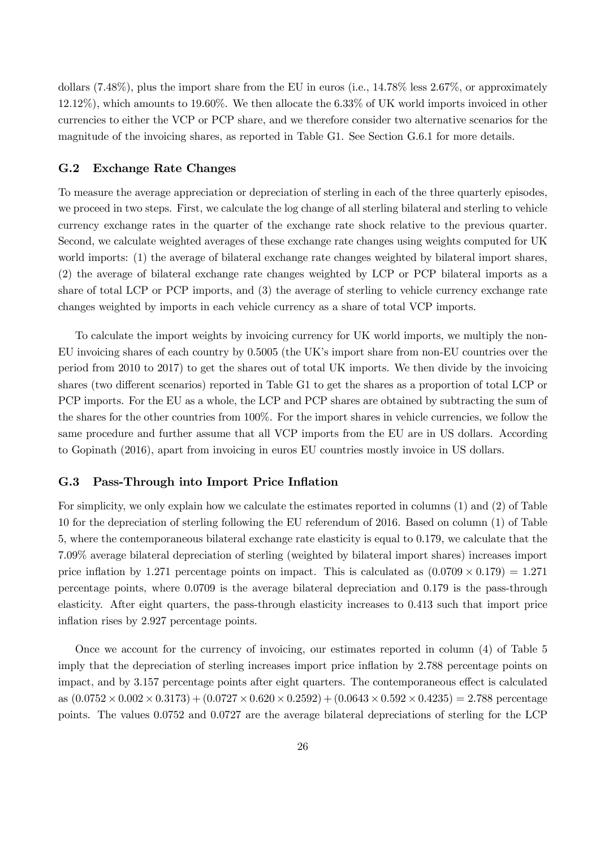dollars (7.48%), plus the import share from the EU in euros (i.e., 14.78% less 2.67%, or approximately 12.12%), which amounts to 19.60%. We then allocate the 6.33% of UK world imports invoiced in other currencies to either the VCP or PCP share, and we therefore consider two alternative scenarios for the magnitude of the invoicing shares, as reported in Table G1. See Section G.6.1 for more details.

#### G.2 Exchange Rate Changes

To measure the average appreciation or depreciation of sterling in each of the three quarterly episodes, we proceed in two steps. First, we calculate the log change of all sterling bilateral and sterling to vehicle currency exchange rates in the quarter of the exchange rate shock relative to the previous quarter. Second, we calculate weighted averages of these exchange rate changes using weights computed for UK world imports: (1) the average of bilateral exchange rate changes weighted by bilateral import shares, (2) the average of bilateral exchange rate changes weighted by LCP or PCP bilateral imports as a share of total LCP or PCP imports, and (3) the average of sterling to vehicle currency exchange rate changes weighted by imports in each vehicle currency as a share of total VCP imports.

To calculate the import weights by invoicing currency for UK world imports, we multiply the non-EU invoicing shares of each country by 0.5005 (the UK's import share from non-EU countries over the period from 2010 to 2017) to get the shares out of total UK imports. We then divide by the invoicing shares (two different scenarios) reported in Table G1 to get the shares as a proportion of total LCP or PCP imports. For the EU as a whole, the LCP and PCP shares are obtained by subtracting the sum of the shares for the other countries from 100%. For the import shares in vehicle currencies, we follow the same procedure and further assume that all VCP imports from the EU are in US dollars. According to Gopinath (2016), apart from invoicing in euros EU countries mostly invoice in US dollars.

#### G.3 Pass-Through into Import Price Inflation

For simplicity, we only explain how we calculate the estimates reported in columns (1) and (2) of Table 10 for the depreciation of sterling following the EU referendum of 2016. Based on column (1) of Table 5, where the contemporaneous bilateral exchange rate elasticity is equal to 0.179, we calculate that the 7.09% average bilateral depreciation of sterling (weighted by bilateral import shares) increases import price inflation by 1.271 percentage points on impact. This is calculated as  $(0.0709 \times 0.179) = 1.271$ percentage points, where 0.0709 is the average bilateral depreciation and 0.179 is the pass-through elasticity. After eight quarters, the pass-through elasticity increases to 0.413 such that import price inflation rises by 2.927 percentage points.

Once we account for the currency of invoicing, our estimates reported in column (4) of Table 5 imply that the depreciation of sterling increases import price inflation by 2.788 percentage points on impact, and by 3.157 percentage points after eight quarters. The contemporaneous effect is calculated as  $(0.0752 \times 0.002 \times 0.3173)+(0.0727 \times 0.620 \times 0.2592)+(0.0643 \times 0.592 \times 0.4235)=2.788$  percentage points. The values 0.0752 and 0.0727 are the average bilateral depreciations of sterling for the LCP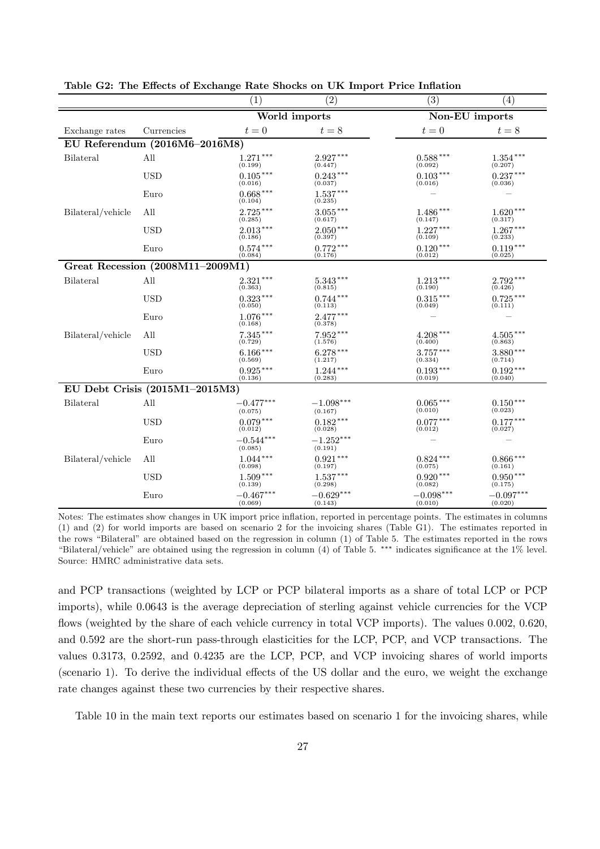|                   |                                  | (1)                    | (2)                    | (3)                    | (4)                    |
|-------------------|----------------------------------|------------------------|------------------------|------------------------|------------------------|
|                   |                                  |                        | World imports          |                        | Non-EU imports         |
| Exchange rates    | Currencies                       | $t=0$                  | $t=8$                  | $t=0$                  | $t=8$                  |
|                   | EU Referendum (2016M6-2016M8)    |                        |                        |                        |                        |
| Bilateral         | All                              | $1.271***$<br>(0.199)  | $2.927***$<br>(0.447)  | $0.588***$<br>(0.092)  | $1.354***$<br>(0.207)  |
|                   | <b>USD</b>                       | $0.105***$<br>(0.016)  | $0.243***$<br>(0.037)  | $0.103***$<br>(0.016)  | $0.237***$<br>(0.036)  |
|                   | Euro                             | $0.668***$<br>(0.104)  | $1.537***$<br>(0.235)  |                        |                        |
| Bilateral/vehicle | All                              | $2.725***$<br>(0.285)  | $3.055***$<br>(0.617)  | $1.486***$<br>(0.147)  | $1.620***$<br>(0.317)  |
|                   | <b>USD</b>                       | $2.013***$<br>(0.186)  | $2.050***$<br>(0.397)  | $1.227***$<br>(0.109)  | $1.267***$<br>(0.233)  |
|                   | Euro                             | $0.574***$<br>(0.084)  | $0.772***$<br>(0.176)  | $0.120***$<br>(0.012)  | $0.119***$<br>(0.025)  |
|                   | Great Recession (2008M11-2009M1) |                        |                        |                        |                        |
| Bilateral         | All                              | $2.321***$<br>(0.363)  | $5.343***$<br>(0.815)  | $1.213***$<br>(0.190)  | $2.792***$<br>(0.426)  |
|                   | <b>USD</b>                       | $0.323***$<br>(0.050)  | $0.744***$<br>(0.113)  | $0.315***$<br>(0.049)  | $0.725***$<br>(0.111)  |
|                   | Euro                             | $1.076***$<br>(0.168)  | $2.477***$<br>(0.378)  |                        |                        |
| Bilateral/vehicle | All                              | $7.345***$<br>(0.729)  | $7.952***$<br>(1.576)  | $4.208***$<br>(0.400)  | $4.505***$<br>(0.863)  |
|                   | <b>USD</b>                       | $6.166***$<br>(0.569)  | $6.278***$<br>(1.217)  | $3.757***$<br>(0.334)  | $3.880***$<br>(0.714)  |
|                   | Euro                             | $0.925***$<br>(0.136)  | $1.244***$<br>(0.283)  | $0.193***$<br>(0.019)  | $0.192***$<br>(0.040)  |
|                   | EU Debt Crisis (2015M1-2015M3)   |                        |                        |                        |                        |
| Bilateral         | All                              | $-0.477***$<br>(0.075) | $-1.098***$<br>(0.167) | $0.065***$<br>(0.010)  | $0.150***$<br>(0.023)  |
|                   | <b>USD</b>                       | $0.079***$<br>(0.012)  | $0.182***$<br>(0.028)  | $0.077***$<br>(0.012)  | $0.177***$<br>(0.027)  |
|                   | Euro                             | $-0.544***$<br>(0.085) | $-1.252***$<br>(0.191) |                        |                        |
| Bilateral/vehicle | All                              | $1.044***$<br>(0.098)  | $0.921***$<br>(0.197)  | $0.824***$<br>(0.075)  | $0.866***$<br>(0.161)  |
|                   | <b>USD</b>                       | $1.509***$<br>(0.139)  | $1.537***$<br>(0.298)  | $0.920***$<br>(0.082)  | $0.950***$<br>(0.175)  |
|                   | Euro                             | $-0.467***$<br>(0.069) | $-0.629***$<br>(0.143) | $-0.098***$<br>(0.010) | $-0.097***$<br>(0.020) |

Table G2: The Effects of Exchange Rate Shocks on UK Import Price Inflation

Notes: The estimates show changes in UK import price in‡ation, reported in percentage points. The estimates in columns (1) and (2) for world imports are based on scenario 2 for the invoicing shares (Table G1). The estimates reported in the rows "Bilateral" are obtained based on the regression in column (1) of Table 5. The estimates reported in the rows "Bilateral/vehicle" are obtained using the regression in column  $(4)$  of Table 5. \*\*\* indicates significance at the 1% level. Source: HMRC administrative data sets.

and PCP transactions (weighted by LCP or PCP bilateral imports as a share of total LCP or PCP imports), while 0.0643 is the average depreciation of sterling against vehicle currencies for the VCP flows (weighted by the share of each vehicle currency in total VCP imports). The values 0.002, 0.620, and 0.592 are the short-run pass-through elasticities for the LCP, PCP, and VCP transactions. The values 0.3173, 0.2592, and 0.4235 are the LCP, PCP, and VCP invoicing shares of world imports (scenario 1). To derive the individual effects of the US dollar and the euro, we weight the exchange rate changes against these two currencies by their respective shares.

Table 10 in the main text reports our estimates based on scenario 1 for the invoicing shares, while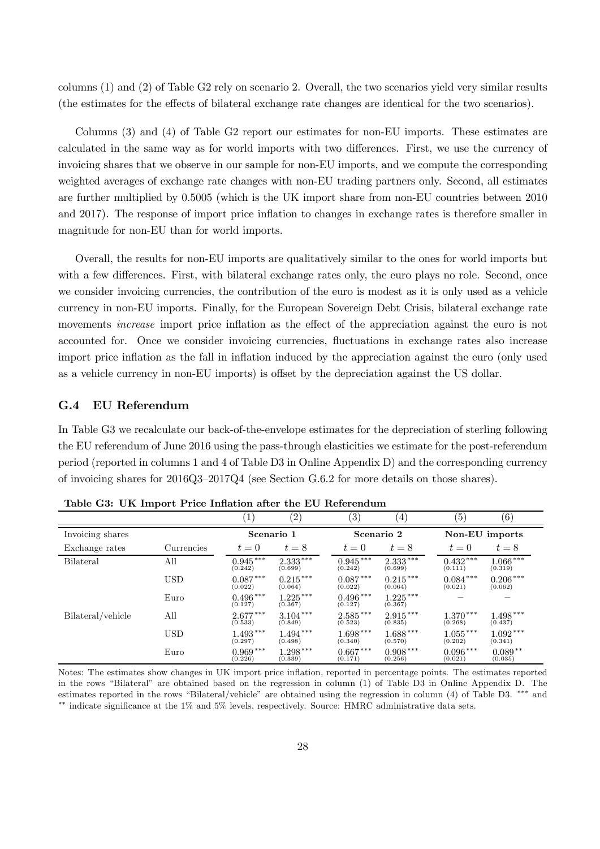columns (1) and (2) of Table G2 rely on scenario 2. Overall, the two scenarios yield very similar results (the estimates for the effects of bilateral exchange rate changes are identical for the two scenarios).

Columns (3) and (4) of Table G2 report our estimates for non-EU imports. These estimates are calculated in the same way as for world imports with two differences. First, we use the currency of invoicing shares that we observe in our sample for non-EU imports, and we compute the corresponding weighted averages of exchange rate changes with non-EU trading partners only. Second, all estimates are further multiplied by 0.5005 (which is the UK import share from non-EU countries between 2010 and 2017). The response of import price inflation to changes in exchange rates is therefore smaller in magnitude for non-EU than for world imports.

Overall, the results for non-EU imports are qualitatively similar to the ones for world imports but with a few differences. First, with bilateral exchange rates only, the euro plays no role. Second, once we consider invoicing currencies, the contribution of the euro is modest as it is only used as a vehicle currency in non-EU imports. Finally, for the European Sovereign Debt Crisis, bilateral exchange rate movements *increase* import price inflation as the effect of the appreciation against the euro is not accounted for. Once we consider invoicing currencies, fluctuations in exchange rates also increase import price inflation as the fall in inflation induced by the appreciation against the euro (only used as a vehicle currency in non-EU imports) is offset by the depreciation against the US dollar.

#### G.4 EU Referendum

In Table G3 we recalculate our back-of-the-envelope estimates for the depreciation of sterling following the EU referendum of June 2016 using the pass-through elasticities we estimate for the post-referendum period (reported in columns 1 and 4 of Table D3 in Online Appendix D) and the corresponding currency of invoicing shares for 2016Q3–2017Q4 (see Section G.6.2 for more details on those shares).

|                   |            | $\mathbf{1}$          | (2)                   | (3)                   | $\left(4\right)$      | $\left( 5\right)$     | (6)                   |
|-------------------|------------|-----------------------|-----------------------|-----------------------|-----------------------|-----------------------|-----------------------|
| Invoicing shares  |            | Scenario 1            |                       | Scenario 2            |                       | Non-EU imports        |                       |
| Exchange rates    | Currencies | $t=0$                 | $t=8$                 | $t=0$                 | $t=8$                 | $t=0$                 | $t=8$                 |
| <b>Bilateral</b>  | All        | $0.945***$<br>(0.242) | $2.333***$<br>(0.699) | $0.945***$<br>(0.242) | $2.333***$<br>(0.699) | $0.432***$<br>(0.111) | $1.066***$<br>(0.319) |
|                   | <b>USD</b> | $0.087***$<br>(0.022) | $0.215***$<br>(0.064) | $0.087***$<br>(0.022) | $0.215***$<br>(0.064) | $0.084***$<br>(0.021) | $0.206***$<br>(0.062) |
|                   | Euro       | $0.496***$<br>(0.127) | $1.225***$<br>(0.367) | $0.496***$<br>(0.127) | $1.225***$<br>(0.367) |                       |                       |
| Bilateral/vehicle | All        | $2.677***$<br>(0.533) | $3.104***$<br>(0.849) | $2.585***$<br>(0.523) | $2.915***$<br>(0.835) | $1.370***$<br>(0.268) | $1.498***$<br>(0.437) |
|                   | <b>USD</b> | $1.493***$<br>(0.297) | $1.494***$<br>(0.498) | $1.698***$<br>(0.340) | $1.688***$<br>(0.570) | $1.055***$<br>(0.202) | $1.092***$<br>(0.341) |
|                   | Euro       | $0.969***$<br>(0.226) | $1.298***$<br>(0.339) | $0.667***$<br>(0.171) | $0.908***$<br>(0.256) | $0.096***$<br>(0.021) | $0.089**$<br>(0.035)  |

Table G3: UK Import Price Inflation after the EU Referendum

Notes: The estimates show changes in UK import price inflation, reported in percentage points. The estimates reported in the rows "Bilateral" are obtained based on the regression in column (1) of Table D3 in Online Appendix D. The estimates reported in the rows "Bilateral/vehicle" are obtained using the regression in column (4) of Table D3. \*\*\* and  $*$ <sup>\*</sup> indicate significance at the  $1\%$  and  $5\%$  levels, respectively. Source: HMRC administrative data sets.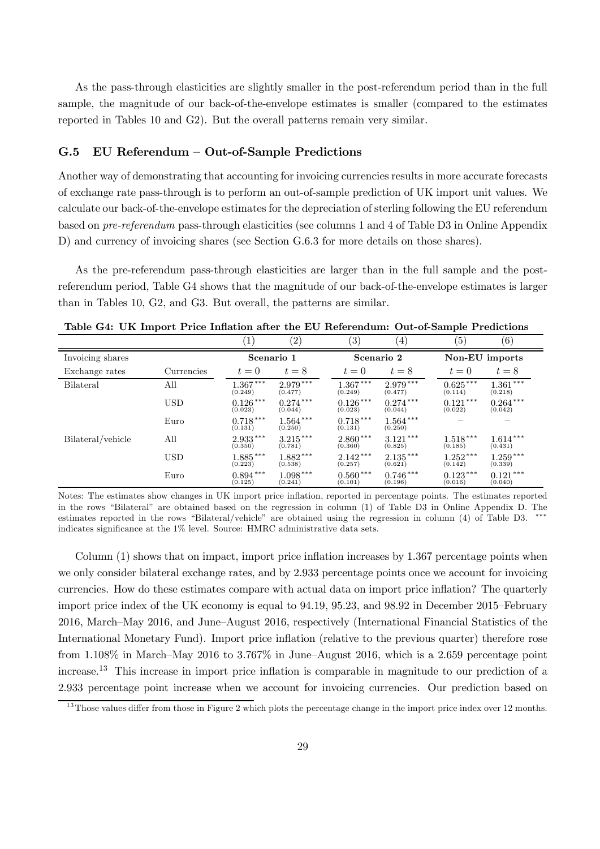As the pass-through elasticities are slightly smaller in the post-referendum period than in the full sample, the magnitude of our back-of-the-envelope estimates is smaller (compared to the estimates reported in Tables 10 and G2). But the overall patterns remain very similar.

#### G.5 EU Referendum – Out-of-Sample Predictions

Another way of demonstrating that accounting for invoicing currencies results in more accurate forecasts of exchange rate pass-through is to perform an out-of-sample prediction of UK import unit values. We calculate our back-of-the-envelope estimates for the depreciation of sterling following the EU referendum based on *pre-referendum* pass-through elasticities (see columns 1 and 4 of Table D3 in Online Appendix D) and currency of invoicing shares (see Section G.6.3 for more details on those shares).

As the pre-referendum pass-through elasticities are larger than in the full sample and the postreferendum period, Table G4 shows that the magnitude of our back-of-the-envelope estimates is larger than in Tables 10, G2, and G3. But overall, the patterns are similar.

|                   |            | $1^{\circ}$           | (2)                   | $\left( 3\right)$     | 4)                    | $\left( 5\right)$     | (6)                   |
|-------------------|------------|-----------------------|-----------------------|-----------------------|-----------------------|-----------------------|-----------------------|
| Invoicing shares  |            | Scenario 1            |                       | Scenario 2            |                       | Non-EU imports        |                       |
| Exchange rates    | Currencies | $t=0$                 | $t=8$                 | $t=0$                 | $t=8$                 | $t=0$                 | $t=8$                 |
| <b>Bilateral</b>  | All        | $1.367***$<br>(0.249) | $2.979***$<br>(0.477) | $1.367***$<br>(0.249) | $2.979***$<br>(0.477) | $0.625***$<br>(0.114) | $1.361***$<br>(0.218) |
|                   | <b>USD</b> | $0.126***$<br>(0.023) | $0.274***$<br>(0.044) | $0.126***$<br>(0.023) | $0.274***$<br>(0.044) | $0.121***$<br>(0.022) | $0.264***$<br>(0.042) |
|                   | Euro       | $0.718***$<br>(0.131) | $1.564***$<br>(0.250) | $0.718***$<br>(0.131) | $1.564***$<br>(0.250) |                       |                       |
| Bilateral/vehicle | All        | $2.933***$<br>(0.350) | $3.215***$<br>(0.781) | $2.860***$<br>(0.360) | $3.121***$<br>(0.825) | $1.518***$<br>(0.185) | $1.614***$<br>(0.431) |
|                   | USD        | $1.885***$<br>(0.223) | $1.882***$<br>(0.538) | $2.142***$<br>(0.257) | $2.135***$<br>(0.621) | $1.252***$<br>(0.142) | $1.259***$<br>(0.339) |
|                   | Euro       | $0.894***$<br>(0.125) | $1.098***$<br>(0.241) | $0.560***$<br>(0.101) | $0.746***$<br>(0.196) | $0.123***$<br>(0.016) | $0.121***$<br>(0.040) |

Table G4: UK Import Price Inflation after the EU Referendum: Out-of-Sample Predictions

Notes: The estimates show changes in UK import price inflation, reported in percentage points. The estimates reported in the rows "Bilateral" are obtained based on the regression in column (1) of Table D3 in Online Appendix D. The estimates reported in the rows "Bilateral/vehicle" are obtained using the regression in column (4) of Table D3.  $*$ indicates significance at the  $1\%$  level. Source: HMRC administrative data sets.

Column  $(1)$  shows that on impact, import price inflation increases by 1.367 percentage points when we only consider bilateral exchange rates, and by 2.933 percentage points once we account for invoicing currencies. How do these estimates compare with actual data on import price inflation? The quarterly import price index of the UK economy is equal to 94.19, 95.23, and 98.92 in December 2015–February 2016, March–May 2016, and June–August 2016, respectively (International Financial Statistics of the International Monetary Fund). Import price inflation (relative to the previous quarter) therefore rose from 1.108% in March–May 2016 to 3.767% in June–August 2016, which is a 2.659 percentage point increase.<sup>13</sup> This increase in import price inflation is comparable in magnitude to our prediction of a 2.933 percentage point increase when we account for invoicing currencies. Our prediction based on

 $13$ Those values differ from those in Figure 2 which plots the percentage change in the import price index over 12 months.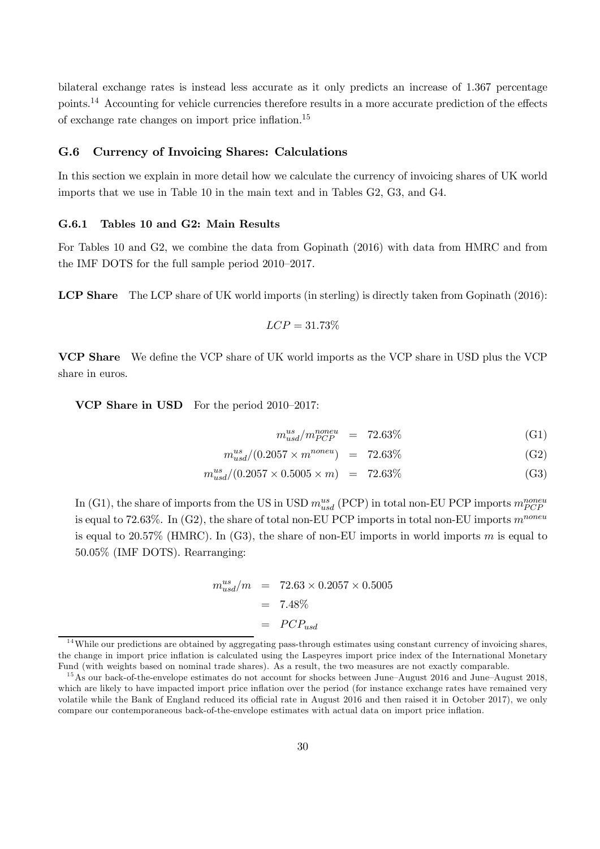bilateral exchange rates is instead less accurate as it only predicts an increase of 1.367 percentage points.<sup>14</sup> Accounting for vehicle currencies therefore results in a more accurate prediction of the effects of exchange rate changes on import price inflation.<sup>15</sup>

#### G.6 Currency of Invoicing Shares: Calculations

In this section we explain in more detail how we calculate the currency of invoicing shares of UK world imports that we use in Table 10 in the main text and in Tables G2, G3, and G4.

#### G.6.1 Tables 10 and G2: Main Results

For Tables 10 and G2, we combine the data from Gopinath (2016) with data from HMRC and from the IMF DOTS for the full sample period 2010–2017.

LCP Share The LCP share of UK world imports (in sterling) is directly taken from Gopinath (2016):

$$
LCP = 31.73\%
$$

VCP Share We define the VCP share of UK world imports as the VCP share in USD plus the VCP share in euros.

VCP Share in USD For the period 2010–2017:

$$
m_{usd}^{us}/m_{PCP}^{noneu} = 72.63\% \tag{G1}
$$

$$
m_{usd}^{us} / (0.2057 \times m^{noneu}) = 72.63\% \tag{G2}
$$

$$
m_{usd}^{us}/(0.2057 \times 0.5005 \times m) = 72.63\% \tag{G3}
$$

In (G1), the share of imports from the US in USD  $m_{usd}^{us}$  (PCP) in total non-EU PCP imports  $m_{PCP}^{noneu}$ is equal to 72.63%. In (G2), the share of total non-EU PCP imports in total non-EU imports  $m^{noneu}$ is equal to 20.57% (HMRC). In (G3), the share of non-EU imports in world imports m is equal to 50.05% (IMF DOTS). Rearranging:

$$
m_{usd}^{us}/m = 72.63 \times 0.2057 \times 0.5005
$$
  
= 7.48%  
= PCP<sub>usd</sub>

 $14$ While our predictions are obtained by aggregating pass-through estimates using constant currency of invoicing shares, the change in import price inflation is calculated using the Laspeyres import price index of the International Monetary Fund (with weights based on nominal trade shares). As a result, the two measures are not exactly comparable.

<sup>&</sup>lt;sup>15</sup>As our back-of-the-envelope estimates do not account for shocks between June–August 2016 and June–August 2018, which are likely to have impacted import price inflation over the period (for instance exchange rates have remained very volatile while the Bank of England reduced its official rate in August 2016 and then raised it in October 2017), we only compare our contemporaneous back-of-the-envelope estimates with actual data on import price inflation.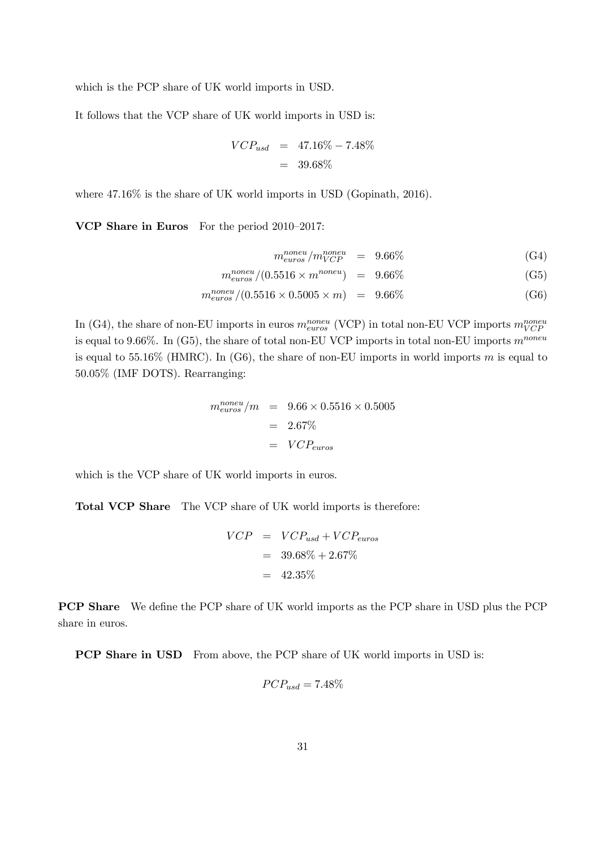which is the PCP share of UK world imports in USD.

It follows that the VCP share of UK world imports in USD is:

$$
VCP_{usd} = 47.16\% - 7.48\%
$$
  
= 39.68\%

where  $47.16\%$  is the share of UK world imports in USD (Gopinath, 2016).

VCP Share in Euros For the period 2010–2017:

$$
m_{euros}^{noneu} / m_{VCP}^{noneu} = 9.66\% \tag{G4}
$$

$$
m_{euros}^{noneu} / (0.5516 \times m^{noneu}) = 9.66\% \tag{G5}
$$

$$
m_{euros}^{noneu} / (0.5516 \times 0.5005 \times m) = 9.66\% \tag{G6}
$$

In (G4), the share of non-EU imports in euros  $m_{euros}^{noneu}$  (VCP) in total non-EU VCP imports  $m_{VCP}^{noneu}$ is equal to 9.66%. In (G5), the share of total non-EU VCP imports in total non-EU imports  $m^{noneu}$ is equal to 55.16% (HMRC). In (G6), the share of non-EU imports in world imports m is equal to 50.05% (IMF DOTS). Rearranging:

$$
m_{euros}^{noneu}/m = 9.66 \times 0.5516 \times 0.5005
$$

$$
= 2.67\%
$$

$$
= VCP_{euros}
$$

which is the VCP share of UK world imports in euros.

Total VCP Share The VCP share of UK world imports is therefore:

$$
VCP = VCP_{usd} + VCP_{euros}
$$

$$
= 39.68\% + 2.67\%
$$

$$
= 42.35\%
$$

**PCP Share** We define the PCP share of UK world imports as the PCP share in USD plus the PCP share in euros.

**PCP Share in USD** From above, the PCP share of UK world imports in USD is:

$$
PCP_{usd} = 7.48\%
$$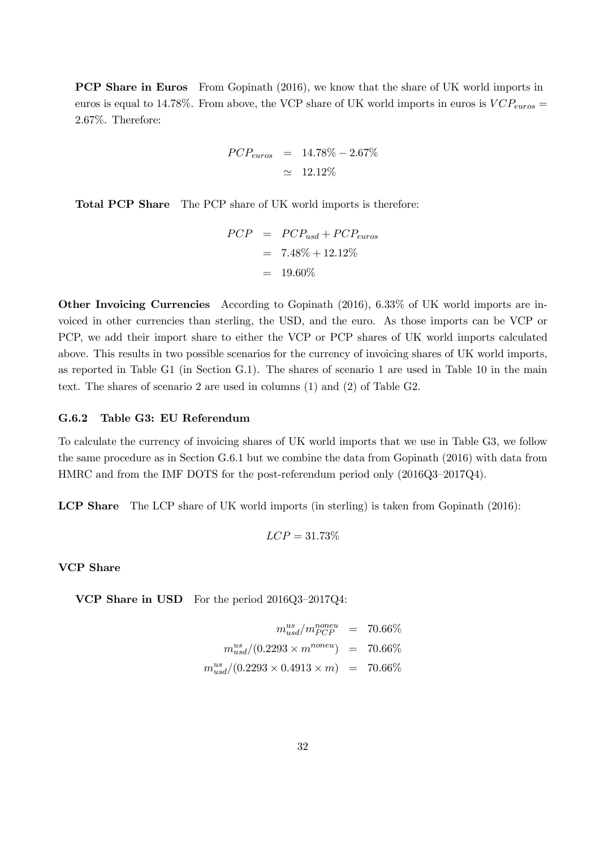**PCP Share in Euros** From Gopinath (2016), we know that the share of UK world imports in euros is equal to 14.78%. From above, the VCP share of UK world imports in euros is  $VCP_{euros} =$ 2.67%. Therefore:

$$
PCP_{euros} = 14.78\% - 2.67\%
$$
  

$$
\simeq 12.12\%
$$

Total PCP Share The PCP share of UK world imports is therefore:

$$
PCP = PCP_{usd} + PCP_{euros}
$$

$$
= 7.48\% + 12.12\%
$$

$$
= 19.60\%
$$

Other Invoicing Currencies According to Gopinath (2016), 6.33% of UK world imports are invoiced in other currencies than sterling, the USD, and the euro. As those imports can be VCP or PCP, we add their import share to either the VCP or PCP shares of UK world imports calculated above. This results in two possible scenarios for the currency of invoicing shares of UK world imports, as reported in Table G1 (in Section G.1). The shares of scenario 1 are used in Table 10 in the main text. The shares of scenario 2 are used in columns (1) and (2) of Table G2.

#### G.6.2 Table G3: EU Referendum

To calculate the currency of invoicing shares of UK world imports that we use in Table G3, we follow the same procedure as in Section G.6.1 but we combine the data from Gopinath (2016) with data from HMRC and from the IMF DOTS for the post-referendum period only (2016Q3–2017Q4).

LCP Share The LCP share of UK world imports (in sterling) is taken from Gopinath (2016):

$$
LCP = 31.73\%
$$

VCP Share

VCP Share in USD For the period 2016Q3–2017Q4:

$$
m_{usd}^{us} / m_{PCP}^{noneu} = 70.66\%
$$
  

$$
m_{usd}^{us} / (0.2293 \times m^{noneu}) = 70.66\%
$$
  

$$
m_{usd}^{us} / (0.2293 \times 0.4913 \times m) = 70.66\%
$$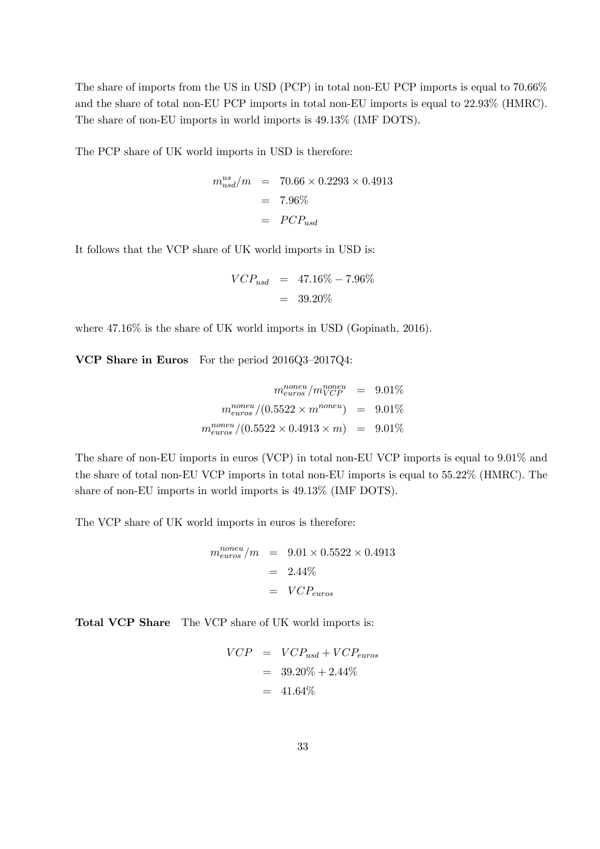The share of imports from the US in USD (PCP) in total non-EU PCP imports is equal to 70.66% and the share of total non-EU PCP imports in total non-EU imports is equal to 22.93% (HMRC). The share of non-EU imports in world imports is 49.13% (IMF DOTS).

The PCP share of UK world imports in USD is therefore:

$$
m_{usd}^{us}/m = 70.66 \times 0.2293 \times 0.4913
$$
  
= 7.96%  
= PCP<sub>usd</sub>

It follows that the VCP share of UK world imports in USD is:

$$
VCP_{usd} = 47.16\% - 7.96\%
$$
  
= 39.20\%

where  $47.16\%$  is the share of UK world imports in USD (Gopinath, 2016).

VCP Share in Euros For the period 2016Q3–2017Q4:

$$
m_{euros}^{noneu}/m_{VCP}^{noneu} = 9.01\%
$$

$$
m_{euros}^{noneu}/(0.5522 \times m^{noneu}) = 9.01\%
$$

$$
m_{euros}^{noneu}/(0.5522 \times 0.4913 \times m) = 9.01\%
$$

The share of non-EU imports in euros (VCP) in total non-EU VCP imports is equal to 9.01% and the share of total non-EU VCP imports in total non-EU imports is equal to 55.22% (HMRC). The share of non-EU imports in world imports is 49.13% (IMF DOTS).

The VCP share of UK world imports in euros is therefore:

$$
m_{euros}^{noneu}/m = 9.01 \times 0.5522 \times 0.4913
$$

$$
= 2.44\%
$$

$$
= VCP_{euros}
$$

Total VCP Share The VCP share of UK world imports is:

$$
VCP = VCP_{usd} + VCP_{euros}
$$

$$
= 39.20\% + 2.44\%
$$

$$
= 41.64\%
$$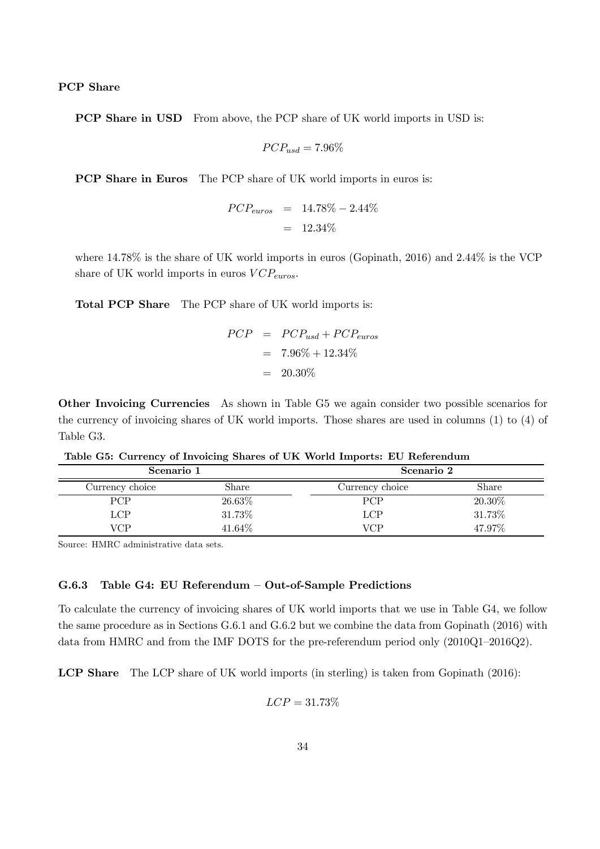#### PCP Share

PCP Share in USD From above, the PCP share of UK world imports in USD is:

$$
PCP_{usd} = 7.96\%
$$

PCP Share in Euros The PCP share of UK world imports in euros is:

$$
PCP_{euros} = 14.78\% - 2.44\%
$$
  
= 12.34\%

where  $14.78\%$  is the share of UK world imports in euros (Gopinath, 2016) and  $2.44\%$  is the VCP share of UK world imports in euros  $VCP_{euros}.$ 

Total PCP Share The PCP share of UK world imports is:

$$
PCP = PCP_{usd} + PCP_{euros}
$$

$$
= 7.96\% + 12.34\%
$$

$$
= 20.30\%
$$

Other Invoicing Currencies As shown in Table G5 we again consider two possible scenarios for the currency of invoicing shares of UK world imports. Those shares are used in columns (1) to (4) of Table G3.

| rasic con carrence of modeling shares of one world imported necessarily |           |                 |        |  |  |  |
|-------------------------------------------------------------------------|-----------|-----------------|--------|--|--|--|
| Scenario 1                                                              |           | Scenario 2      |        |  |  |  |
| Currency choice                                                         | Share     | Currency choice | Share  |  |  |  |
| PCP                                                                     | $26.63\%$ | <b>PCP</b>      | 20.30% |  |  |  |
| <b>LCP</b>                                                              | 31.73%    | LCP             | 31.73% |  |  |  |
| <b>VCP</b>                                                              | 41.64%    | VCP             | 47.97% |  |  |  |

Table G5: Currency of Invoicing Shares of UK World Imports: EU Referendum

Source: HMRC administrative data sets.

#### G.6.3 Table G4: EU Referendum – Out-of-Sample Predictions

To calculate the currency of invoicing shares of UK world imports that we use in Table G4, we follow the same procedure as in Sections G.6.1 and G.6.2 but we combine the data from Gopinath (2016) with data from HMRC and from the IMF DOTS for the pre-referendum period only (2010Q1–2016Q2).

LCP Share The LCP share of UK world imports (in sterling) is taken from Gopinath (2016):

$$
LCP = 31.73\%
$$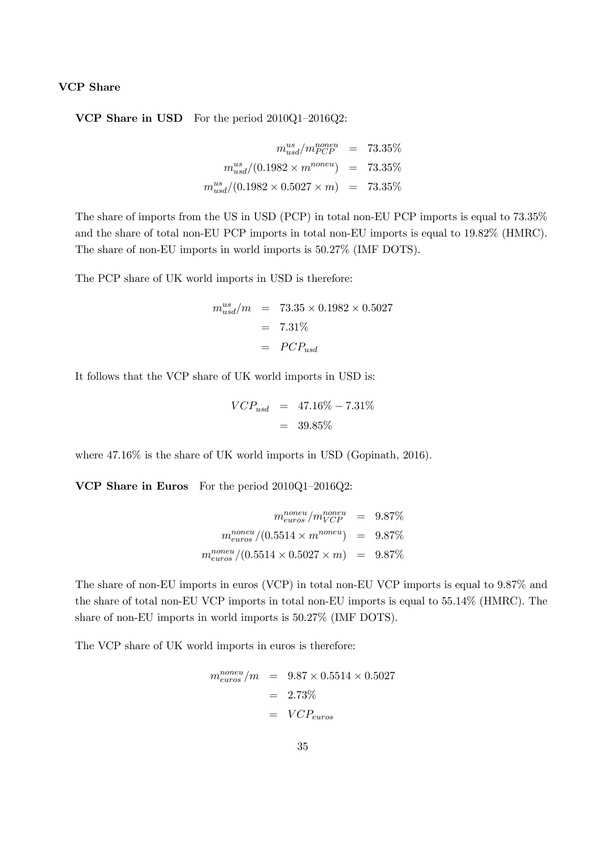#### VCP Share

VCP Share in USD For the period 2010Q1–2016Q2:

$$
m_{usd}^{us} / m_{PCP}^{noneu} = 73.35\%
$$
  
\n
$$
m_{usd}^{us} / (0.1982 \times m^{noneu}) = 73.35\%
$$
  
\n
$$
m_{usd}^{us} / (0.1982 \times 0.5027 \times m) = 73.35\%
$$

The share of imports from the US in USD (PCP) in total non-EU PCP imports is equal to 73.35% and the share of total non-EU PCP imports in total non-EU imports is equal to 19.82% (HMRC). The share of non-EU imports in world imports is 50.27% (IMF DOTS).

The PCP share of UK world imports in USD is therefore:

$$
m_{usd}^{us}/m = 73.35 \times 0.1982 \times 0.5027
$$
  
= 7.31%  
= PCP<sub>usd</sub>

It follows that the VCP share of UK world imports in USD is:

$$
VCP_{usd} = 47.16\% - 7.31\%
$$
  
= 39.85\%

where  $47.16\%$  is the share of UK world imports in USD (Gopinath, 2016).

VCP Share in Euros For the period 2010Q1–2016Q2:

$$
m_{euros}^{noneu} / m_{VCP}^{noneu} = 9.87\%
$$

$$
m_{euros}^{noneu} / (0.5514 \times m^{noneu}) = 9.87\%
$$

$$
m_{euros}^{noneu} / (0.5514 \times 0.5027 \times m) = 9.87\%
$$

The share of non-EU imports in euros (VCP) in total non-EU VCP imports is equal to 9.87% and the share of total non-EU VCP imports in total non-EU imports is equal to 55.14% (HMRC). The share of non-EU imports in world imports is 50.27% (IMF DOTS).

The VCP share of UK world imports in euros is therefore:

$$
m_{euros}^{noneu}/m = 9.87 \times 0.5514 \times 0.5027
$$

$$
= 2.73\%
$$

$$
= VCP_{euros}
$$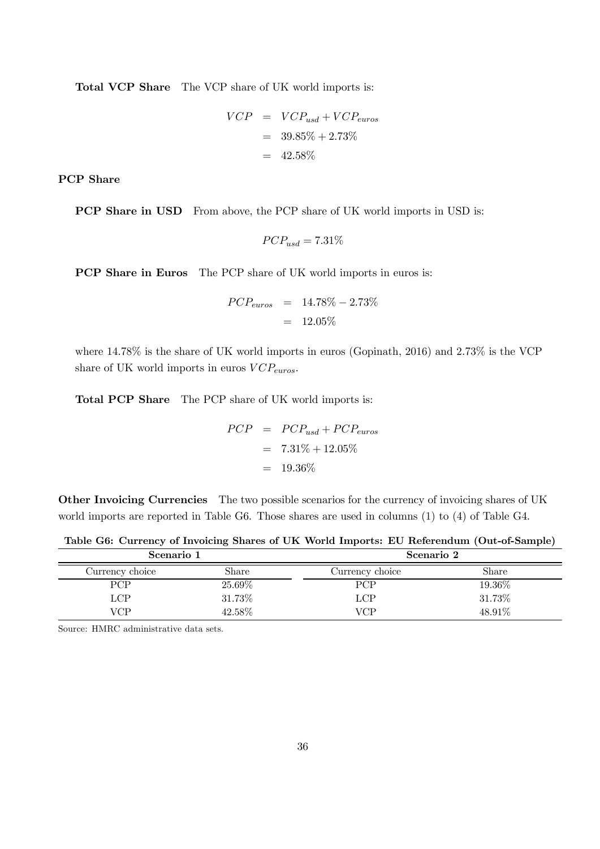Total VCP Share The VCP share of UK world imports is:

$$
VCP = VCP_{usd} + VCP_{euros}
$$

$$
= 39.85\% + 2.73\%
$$

$$
= 42.58\%
$$

PCP Share

PCP Share in USD From above, the PCP share of UK world imports in USD is:

$$
PCP_{usd}=7.31\%
$$

PCP Share in Euros The PCP share of UK world imports in euros is:

$$
PCP_{euros} = 14.78\% - 2.73\%
$$
  
= 12.05\%

where  $14.78\%$  is the share of UK world imports in euros (Gopinath, 2016) and 2.73% is the VCP share of UK world imports in euros  $VCP_{euros}.$ 

Total PCP Share The PCP share of UK world imports is:

$$
PCP = PCP_{usd} + PCP_{euros}
$$

$$
= 7.31\% + 12.05\%
$$

$$
= 19.36\%
$$

Other Invoicing Currencies The two possible scenarios for the currency of invoicing shares of UK world imports are reported in Table G6. Those shares are used in columns (1) to (4) of Table G4.

| Scenario 1      |        | Scenario 2      |        |  |
|-----------------|--------|-----------------|--------|--|
| Currency choice | Share  | Currency choice | Share  |  |
| <b>PCP</b>      | 25.69% | PCP             | 19.36% |  |
| LCP             | 31.73% | LCP             | 31.73% |  |
| VCP.            | 42.58% | VCP             | 48.91% |  |

Table G6: Currency of Invoicing Shares of UK World Imports: EU Referendum (Out-of-Sample)

Source: HMRC administrative data sets.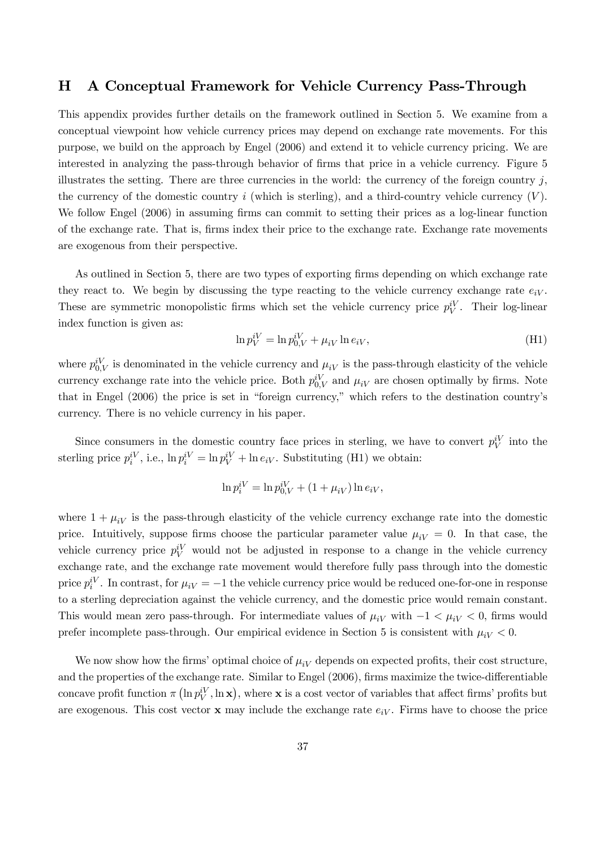### H A Conceptual Framework for Vehicle Currency Pass-Through

This appendix provides further details on the framework outlined in Section 5. We examine from a conceptual viewpoint how vehicle currency prices may depend on exchange rate movements. For this purpose, we build on the approach by Engel (2006) and extend it to vehicle currency pricing. We are interested in analyzing the pass-through behavior of firms that price in a vehicle currency. Figure 5 illustrates the setting. There are three currencies in the world: the currency of the foreign country  $j$ , the currency of the domestic country  $i$  (which is sterling), and a third-country vehicle currency  $(V)$ . We follow Engel (2006) in assuming firms can commit to setting their prices as a log-linear function of the exchange rate. That is, firms index their price to the exchange rate. Exchange rate movements are exogenous from their perspective.

As outlined in Section 5, there are two types of exporting firms depending on which exchange rate they react to. We begin by discussing the type reacting to the vehicle currency exchange rate  $e_{iV}$ . These are symmetric monopolistic firms which set the vehicle currency price  $p_V^i$ . Their log-linear index function is given as:

$$
\ln p_V^{iV} = \ln p_{0,V}^{iV} + \mu_{iV} \ln e_{iV},\tag{H1}
$$

where  $p_{0,V}^i$  is denominated in the vehicle currency and  $\mu_{iV}$  is the pass-through elasticity of the vehicle currency exchange rate into the vehicle price. Both  $p_{0,V}^{iV}$  and  $\mu_{iV}$  are chosen optimally by firms. Note that in Engel (2006) the price is set in "foreign currency," which refers to the destination country's currency. There is no vehicle currency in his paper.

Since consumers in the domestic country face prices in sterling, we have to convert  $p_V^i$  into the sterling price  $p_i^i$ , i.e.,  $\ln p_i^i$  =  $\ln p_V^i$  +  $\ln e_i$ . Substituting (H1) we obtain:

$$
\ln p_i^{iV} = \ln p_{0,V}^{iV} + (1 + \mu_{iV}) \ln e_{iV},
$$

where  $1 + \mu_{i}$  is the pass-through elasticity of the vehicle currency exchange rate into the domestic price. Intuitively, suppose firms choose the particular parameter value  $\mu_{iV} = 0$ . In that case, the vehicle currency price  $p_V^i$  would not be adjusted in response to a change in the vehicle currency exchange rate, and the exchange rate movement would therefore fully pass through into the domestic price  $p_i^i$ . In contrast, for  $\mu_{iV} = -1$  the vehicle currency price would be reduced one-for-one in response to a sterling depreciation against the vehicle currency, and the domestic price would remain constant. This would mean zero pass-through. For intermediate values of  $\mu_{iV}$  with  $-1 < \mu_{iV} < 0$ , firms would prefer incomplete pass-through. Our empirical evidence in Section 5 is consistent with  $\mu_{iV} < 0$ .

We now show how the firms' optimal choice of  $\mu_{iV}$  depends on expected profits, their cost structure, and the properties of the exchange rate. Similar to Engel (2006), firms maximize the twice-differentiable concave profit function  $\pi\left(\ln p_V^{iV}, \ln x\right)$ , where x is a cost vector of variables that affect firms' profits but are exogenous. This cost vector  $x$  may include the exchange rate  $e_iV$ . Firms have to choose the price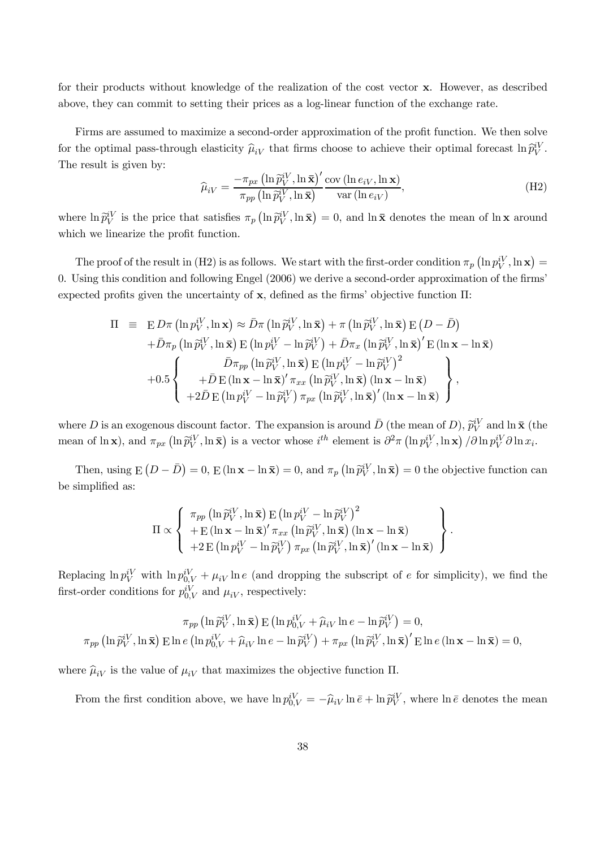for their products without knowledge of the realization of the cost vector x. However, as described above, they can commit to setting their prices as a log-linear function of the exchange rate.

Firms are assumed to maximize a second-order approximation of the profit function. We then solve for the optimal pass-through elasticity  $\hat{\mu}_{iV}$  that firms choose to achieve their optimal forecast  $\ln \hat{p}_V^{iV}$ . The result is given by:

$$
\widehat{\mu}_{iV} = \frac{-\pi_{px} \left( \ln \widehat{p}_{V}^{iV}, \ln \overline{\mathbf{x}} \right)^{\prime} \text{cov} \left( \ln e_{iV}, \ln \mathbf{x} \right)}{\pi_{pp} \left( \ln \widehat{p}_{V}^{iV}, \ln \overline{\mathbf{x}} \right)} \text{var} \left( \ln e_{iV} \right),\tag{H2}
$$

where  $\ln \tilde{p}_V^i$  is the price that satisfies  $\pi_p\left(\ln \tilde{p}_V^{i}$ ,  $\ln \bar{\mathbf{x}}\right) = 0$ , and  $\ln \bar{\mathbf{x}}$  denotes the mean of  $\ln \mathbf{x}$  around which we linearize the profit function.

The proof of the result in (H2) is as follows. We start with the first-order condition  $\pi_p\left(\ln p_V^{iV}, \ln x\right)$ 0. Using this condition and following Engel  $(2006)$  we derive a second-order approximation of the firms' expected profits given the uncertainty of  $x$ , defined as the firms' objective function  $\Pi$ :

$$
\Pi = \mathbf{E} D\pi \left( \ln p_V^{iV}, \ln \mathbf{x} \right) \approx \bar{D}\pi \left( \ln \tilde{p}_V^{iV}, \ln \bar{\mathbf{x}} \right) + \pi \left( \ln \tilde{p}_V^{iV}, \ln \bar{\mathbf{x}} \right) \mathbf{E} \left( D - \bar{D} \right) \n+ \bar{D}\pi_p \left( \ln \tilde{p}_V^{iV}, \ln \bar{\mathbf{x}} \right) \mathbf{E} \left( \ln p_V^{iV} - \ln \tilde{p}_V^{iV} \right) + \bar{D}\pi_x \left( \ln \tilde{p}_V^{iV}, \ln \bar{\mathbf{x}} \right)' \mathbf{E} \left( \ln \mathbf{x} - \ln \bar{\mathbf{x}} \right) \n+ 0.5 \n\begin{cases}\n\bar{D}\pi_{pp} \left( \ln \tilde{p}_V^{iV}, \ln \bar{\mathbf{x}} \right) \mathbf{E} \left( \ln p_V^{iV} - \ln \tilde{p}_V^{iV} \right)^2 \\
+ \bar{D} \mathbf{E} \left( \ln \mathbf{x} - \ln \bar{\mathbf{x}} \right)' \pi_{xx} \left( \ln \tilde{p}_V^{iV}, \ln \bar{\mathbf{x}} \right) \left( \ln \mathbf{x} - \ln \bar{\mathbf{x}} \right) \\
+ 2\bar{D} \mathbf{E} \left( \ln p_V^{iV} - \ln \tilde{p}_V^{iV} \right) \pi_{px} \left( \ln \tilde{p}_V^{iV}, \ln \bar{\mathbf{x}} \right)' \left( \ln \mathbf{x} - \ln \bar{\mathbf{x}} \right)\n\end{cases},
$$

where D is an exogenous discount factor. The expansion is around  $\bar{D}$  (the mean of D),  $\tilde{p}_V^{iV}$  and  $\ln \bar{\mathbf{x}}$  (the mean of ln x), and  $\pi_{px}$  (ln  $\tilde{p}_V^{iV}$ , ln  $\bar{\mathbf{x}}$ ) is a vector whose  $i^{th}$  element is  $\partial^2 \pi (\ln p_V^{iV}, \ln \mathbf{x}) / \partial \ln p_V^{iV} \partial \ln x_i$ .

Then, using  $E(D - \bar{D}) = 0$ ,  $E(\ln x - \ln \bar{x}) = 0$ , and  $\pi_p(\ln \tilde{p}_V^W, \ln \bar{x}) = 0$  the objective function can be simplified as:

$$
\Pi \propto \left\{ \begin{array}{l} \pi_{pp} \left( \ln \tilde{p}_V^{iV}, \ln \bar{\mathbf{x}} \right) \to \left( \ln p_V^{iV} - \ln \tilde{p}_V^{iV} \right)^2 \\ + \to \left( \ln \mathbf{x} - \ln \bar{\mathbf{x}} \right)' \pi_{xx} \left( \ln \tilde{p}_V^{iV}, \ln \bar{\mathbf{x}} \right) \left( \ln \mathbf{x} - \ln \bar{\mathbf{x}} \right) \\ + 2 \to \left( \ln p_V^{iV} - \ln \tilde{p}_V^{iV} \right) \pi_{px} \left( \ln \tilde{p}_V^{iV}, \ln \bar{\mathbf{x}} \right)' \left( \ln \mathbf{x} - \ln \bar{\mathbf{x}} \right) \end{array} \right\}.
$$

Replacing  $\ln p_V^{iV}$  with  $\ln p_{0,V}^{iV} + \mu_{iV} \ln e$  (and dropping the subscript of e for simplicity), we find the first-order conditions for  $p_{0,V}^{iV}$  and  $\mu_{iV}$ , respectively:

$$
\pi_{pp} \left( \ln \tilde{p}_V^{iV}, \ln \bar{\mathbf{x}} \right) \mathbf{E} \left( \ln p_{0,V}^{iV} + \hat{\mu}_{iV} \ln e - \ln \tilde{p}_V^{iV} \right) = 0,
$$
  

$$
\pi_{pp} \left( \ln \tilde{p}_V^{iV}, \ln \bar{\mathbf{x}} \right) \mathbf{E} \ln e \left( \ln p_{0,V}^{iV} + \hat{\mu}_{iV} \ln e - \ln \tilde{p}_V^{iV} \right) + \pi_{px} \left( \ln \tilde{p}_V^{iV}, \ln \bar{\mathbf{x}} \right)' \mathbf{E} \ln e \left( \ln \mathbf{x} - \ln \bar{\mathbf{x}} \right) = 0,
$$

where  $\hat{\mu}_{iV}$  is the value of  $\mu_{iV}$  that maximizes the objective function  $\Pi$ .

From the first condition above, we have  $\ln p_{0,V}^{iV} = -\hat{\mu}_{iV} \ln \bar{e} + \ln \tilde{p}_{V}^{iV}$ , where  $\ln \bar{e}$  denotes the mean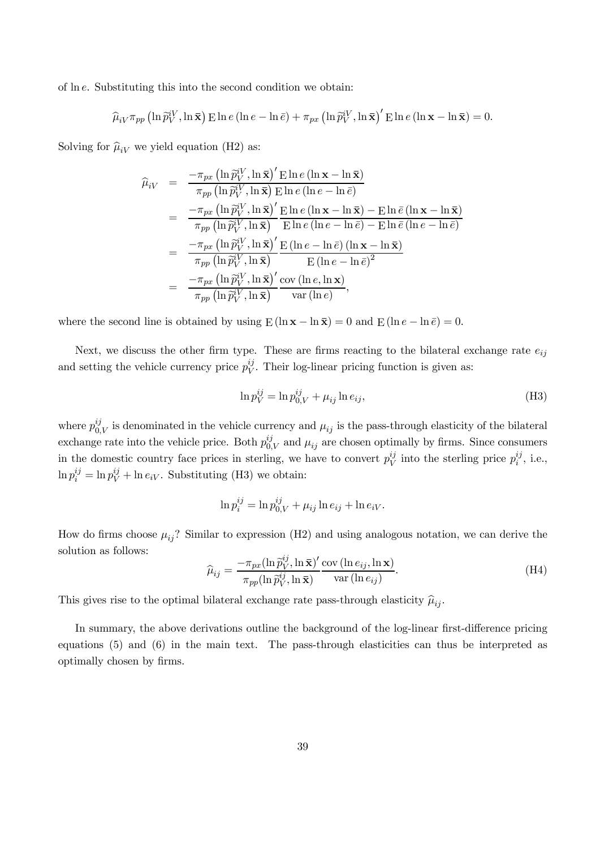of ln e. Substituting this into the second condition we obtain:

$$
\widehat{\mu}_{iV}\pi_{pp}\left(\ln\widetilde{p}_{V}^{iV},\ln\overline{\mathbf{x}}\right)\mathrm{E}\ln e\left(\ln e-\ln\overline{e}\right)+\pi_{px}\left(\ln\widetilde{p}_{V}^{iV},\ln\overline{\mathbf{x}}\right)^{\prime}\mathrm{E}\ln e\left(\ln\mathbf{x}-\ln\overline{\mathbf{x}}\right)=0.
$$

Solving for  $\hat{\mu}_{iV}$  we yield equation (H2) as:

$$
\hat{\mu}_{iV} = \frac{-\pi_{px} (\ln \tilde{p}_{V}^{iV}, \ln \bar{\mathbf{x}})' \mathrm{E} \ln e (\ln \mathbf{x} - \ln \bar{\mathbf{x}})}{\pi_{pp} (\ln \tilde{p}_{V}^{iV}, \ln \bar{\mathbf{x}}) \mathrm{E} \ln e (\ln e - \ln \bar{e})}
$$
\n
$$
= \frac{-\pi_{px} (\ln \tilde{p}_{V}^{iV}, \ln \bar{\mathbf{x}})' \mathrm{E} \ln e (\ln \mathbf{x} - \ln \bar{\mathbf{x}}) - \mathrm{E} \ln \bar{e} (\ln \mathbf{x} - \ln \bar{\mathbf{x}})}{\pi_{pp} (\ln \tilde{p}_{V}^{iV}, \ln \bar{\mathbf{x}})} \frac{\mathrm{E} \ln e (\ln e - \ln \bar{e}) - \mathrm{E} \ln \bar{e} (\ln e - \ln \bar{e})}{\mathrm{E} \ln e (\ln e - \ln \bar{e}) - \mathrm{E} \ln \bar{e} (\ln e - \ln \bar{e})}
$$
\n
$$
= \frac{-\pi_{px} (\ln \tilde{p}_{V}^{iV}, \ln \bar{\mathbf{x}})'}{\pi_{pp} (\ln \tilde{p}_{V}^{iV}, \ln \bar{\mathbf{x}})} \frac{\mathrm{E} (\ln e - \ln \bar{e}) (\ln \mathbf{x} - \ln \bar{\mathbf{x}})}{\mathrm{E} (\ln e - \ln \bar{e})^{2}}
$$
\n
$$
= \frac{-\pi_{px} (\ln \tilde{p}_{V}^{iV}, \ln \bar{\mathbf{x}})'}{\pi_{pp} (\ln \tilde{p}_{V}^{iV}, \ln \bar{\mathbf{x}})} \frac{\mathrm{cov} (\ln e, \ln \mathbf{x})}{\mathrm{var} (\ln e)},
$$

where the second line is obtained by using  $E(\ln x - \ln \bar{x}) = 0$  and  $E(\ln e - \ln \bar{e}) = 0$ .

Next, we discuss the other firm type. These are firms reacting to the bilateral exchange rate  $e_{ij}$ and setting the vehicle currency price  $p_V^{ij}$  $V^j$ . Their log-linear pricing function is given as:

$$
\ln p_V^{ij} = \ln p_{0,V}^{ij} + \mu_{ij} \ln e_{ij},\tag{H3}
$$

where  $p_0^{ij}$  $\mu_{0,V}^{ij}$  is denominated in the vehicle currency and  $\mu_{ij}$  is the pass-through elasticity of the bilateral exchange rate into the vehicle price. Both  $p_0^{ij}$  $\mu_{0,V}^{ij}$  and  $\mu_{ij}$  are chosen optimally by firms. Since consumers in the domestic country face prices in sterling, we have to convert  $p_V^{ij}$  $\psi$ <sup>ij</sup> into the sterling price  $p_i^{ij}$  $i^{ij}$ , i.e.,  $\ln p_i^{ij} = \ln p_V^{ij} + \ln e_i$ . Substituting (H3) we obtain:

$$
\ln p_i^{ij} = \ln p_{0,V}^{ij} + \mu_{ij} \ln e_{ij} + \ln e_{iV}.
$$

How do firms choose  $\mu_{ij}$ ? Similar to expression (H2) and using analogous notation, we can derive the solution as follows:

$$
\widehat{\mu}_{ij} = \frac{-\pi_{px} (\ln \widehat{p}_V^{ij}, \ln \overline{\mathbf{x}})'}{\pi_{pp} (\ln \widehat{p}_V^{ij}, \ln \overline{\mathbf{x}})} \frac{\text{cov} (\ln e_{ij}, \ln \mathbf{x})}{\text{var} (\ln e_{ij})}.
$$
\n(H4)

This gives rise to the optimal bilateral exchange rate pass-through elasticity  $\hat{\mu}_{ij}$ .

In summary, the above derivations outline the background of the log-linear first-difference pricing equations (5) and (6) in the main text. The pass-through elasticities can thus be interpreted as optimally chosen by firms.